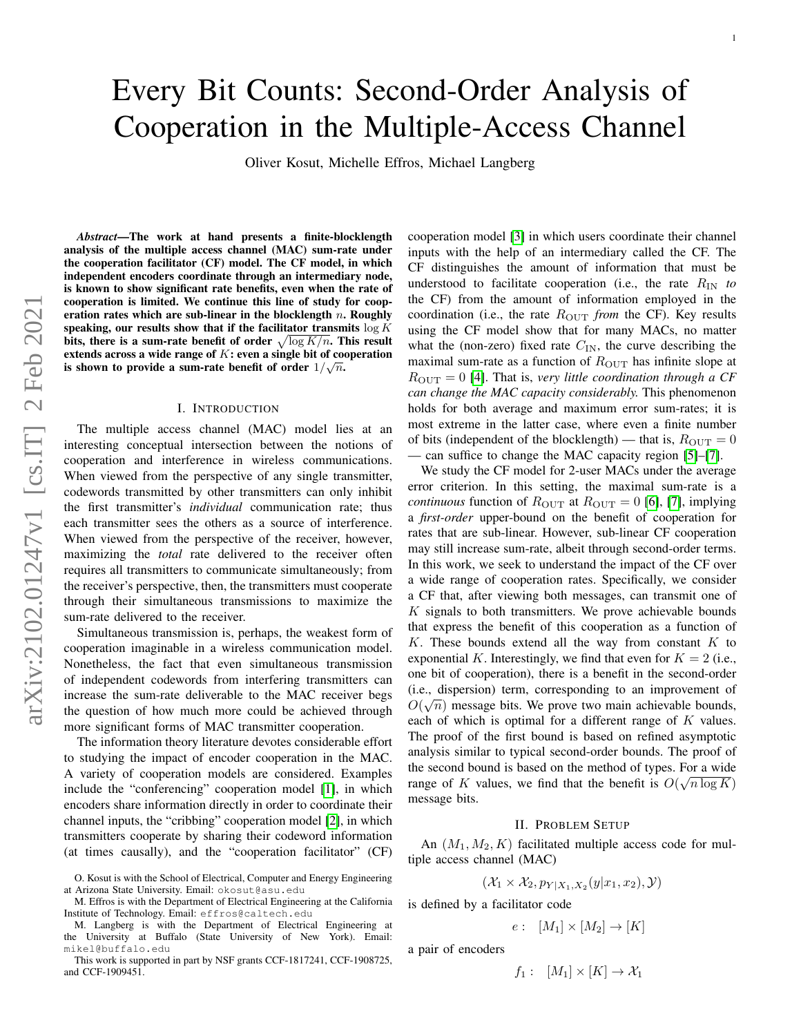# Every Bit Counts: Second-Order Analysis of Cooperation in the Multiple-Access Channel

Oliver Kosut, Michelle Effros, Michael Langberg

*Abstract*—The work at hand presents a finite-blocklength analysis of the multiple access channel (MAC) sum-rate under the cooperation facilitator (CF) model. The CF model, in which independent encoders coordinate through an intermediary node, is known to show significant rate benefits, even when the rate of cooperation is limited. We continue this line of study for cooperation rates which are sub-linear in the blocklength  $n$ . Roughly speaking, our results show that if the facilitator transmits  $\log K$ bits, there is a sum-rate benefit of order  $\sqrt{\log K/n}$ . This result extends across a wide range of  $K$ : even a single bit of cooperation is shown to provide a sum-rate benefit of order  $1/\sqrt{n}$ .

#### I. INTRODUCTION

The multiple access channel (MAC) model lies at an interesting conceptual intersection between the notions of cooperation and interference in wireless communications. When viewed from the perspective of any single transmitter, codewords transmitted by other transmitters can only inhibit the first transmitter's *individual* communication rate; thus each transmitter sees the others as a source of interference. When viewed from the perspective of the receiver, however, maximizing the *total* rate delivered to the receiver often requires all transmitters to communicate simultaneously; from the receiver's perspective, then, the transmitters must cooperate through their simultaneous transmissions to maximize the sum-rate delivered to the receiver.

Simultaneous transmission is, perhaps, the weakest form of cooperation imaginable in a wireless communication model. Nonetheless, the fact that even simultaneous transmission of independent codewords from interfering transmitters can increase the sum-rate deliverable to the MAC receiver begs the question of how much more could be achieved through more significant forms of MAC transmitter cooperation.

The information theory literature devotes considerable effort to studying the impact of encoder cooperation in the MAC. A variety of cooperation models are considered. Examples include the "conferencing" cooperation model [\[1\]](#page-12-0), in which encoders share information directly in order to coordinate their channel inputs, the "cribbing" cooperation model [\[2\]](#page-12-1), in which transmitters cooperate by sharing their codeword information (at times causally), and the "cooperation facilitator" (CF)

cooperation model [\[3\]](#page-12-2) in which users coordinate their channel inputs with the help of an intermediary called the CF. The CF distinguishes the amount of information that must be understood to facilitate cooperation (i.e., the rate RIN *to* the CF) from the amount of information employed in the coordination (i.e., the rate  $R_{\text{OUT}}$  *from* the CF). Key results using the CF model show that for many MACs, no matter what the (non-zero) fixed rate  $C_{IN}$ , the curve describing the maximal sum-rate as a function of  $R_{\text{OUT}}$  has infinite slope at  $R_{\text{OUT}} = 0$  [\[4\]](#page-12-3). That is, *very little coordination through a CF can change the MAC capacity considerably.* This phenomenon holds for both average and maximum error sum-rates; it is most extreme in the latter case, where even a finite number of bits (independent of the blocklength) — that is,  $R_{\text{OUT}} = 0$ — can suffice to change the MAC capacity region [\[5\]](#page-12-4)–[\[7\]](#page-13-0).

We study the CF model for 2-user MACs under the average error criterion. In this setting, the maximal sum-rate is a *continuous* function of  $R_{\text{OUT}}$  at  $R_{\text{OUT}} = 0$  [\[6\]](#page-13-1), [\[7\]](#page-13-0), implying a *first-order* upper-bound on the benefit of cooperation for rates that are sub-linear. However, sub-linear CF cooperation may still increase sum-rate, albeit through second-order terms. In this work, we seek to understand the impact of the CF over a wide range of cooperation rates. Specifically, we consider a CF that, after viewing both messages, can transmit one of  $K$  signals to both transmitters. We prove achievable bounds that express the benefit of this cooperation as a function of K. These bounds extend all the way from constant  $K$  to exponential K. Interestingly, we find that even for  $K = 2$  (i.e., one bit of cooperation), there is a benefit in the second-order (i.e., dispersion) term, corresponding to an improvement of  $\Omega(\sqrt{a})$  $O(\sqrt{n})$  message bits. We prove two main achievable bounds, each of which is optimal for a different range of  $K$  values. The proof of the first bound is based on refined asymptotic analysis similar to typical second-order bounds. The proof of the second bound is based on the method of types. For a wide range of K values, we find that the benefit is  $O(\sqrt{n \log K})$ message bits.

#### II. PROBLEM SETUP

An  $(M_1, M_2, K)$  facilitated multiple access code for multiple access channel (MAC)

$$
(\mathcal{X}_1 \times \mathcal{X}_2, p_{Y|X_1, X_2}(y|x_1, x_2), \mathcal{Y})
$$

is defined by a facilitator code

$$
e: [M_1] \times [M_2] \to [K]
$$

a pair of encoders

$$
f_1: [M_1] \times [K] \to \mathcal{X}_1
$$

O. Kosut is with the School of Electrical, Computer and Energy Engineering at Arizona State University. Email: okosut@asu.edu

M. Effros is with the Department of Electrical Engineering at the California Institute of Technology. Email: effros@caltech.edu

M. Langberg is with the Department of Electrical Engineering at the University at Buffalo (State University of New York). Email: mikel@buffalo.edu

This work is supported in part by NSF grants CCF-1817241, CCF-1908725, and CCF-1909451.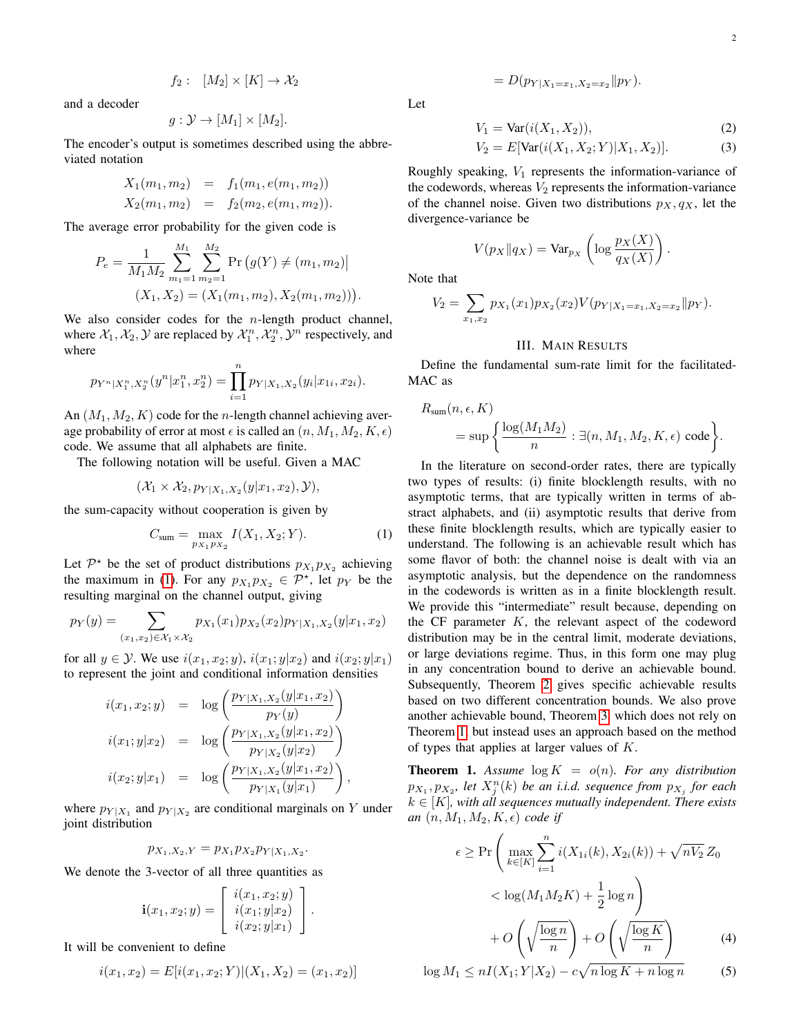$$
f_2: [M_2] \times [K] \to \mathcal{X}_2
$$

and a decoder

$$
g: \mathcal{Y} \to [M_1] \times [M_2].
$$

The encoder's output is sometimes described using the abbreviated notation

$$
X_1(m_1, m_2) = f_1(m_1, e(m_1, m_2))
$$
  

$$
X_2(m_1, m_2) = f_2(m_2, e(m_1, m_2)).
$$

The average error probability for the given code is

M<sup>1</sup>

$$
P_e = \frac{1}{M_1 M_2} \sum_{m_1=1}^{M_1} \sum_{m_2=1}^{M_2} \Pr(g(Y) \neq (m_1, m_2) |
$$
  

$$
(X_1, X_2) = (X_1(m_1, m_2), X_2(m_1, m_2))).
$$

We also consider codes for the  $n$ -length product channel, where  $\mathcal{X}_1, \mathcal{X}_2, \mathcal{Y}$  are replaced by  $\mathcal{X}_1^n, \mathcal{X}_2^n, \mathcal{Y}^n$  respectively, and where

$$
p_{Y^n|X_1^n,X_2^n}(y^n|x_1^n,x_2^n)=\prod_{i=1}^n p_{Y|X_1,X_2}(y_i|x_{1i},x_{2i}).
$$

An  $(M_1, M_2, K)$  code for the *n*-length channel achieving average probability of error at most  $\epsilon$  is called an  $(n, M_1, M_2, K, \epsilon)$ code. We assume that all alphabets are finite.

The following notation will be useful. Given a MAC

$$
(\mathcal{X}_1 \times \mathcal{X}_2, p_{Y|X_1,X_2}(y|x_1,x_2), \mathcal{Y}),
$$

the sum-capacity without cooperation is given by

<span id="page-1-0"></span>
$$
C_{\text{sum}} = \max_{p_{X_1} p_{X_2}} I(X_1, X_2; Y). \tag{1}
$$

Let  $\mathcal{P}^*$  be the set of product distributions  $p_{X_1}p_{X_2}$  achieving the maximum in [\(1\)](#page-1-0). For any  $p_{X_1}p_{X_2} \in \mathcal{P}^*$ , let  $p_Y$  be the resulting marginal on the channel output, giving

$$
p_Y(y) = \sum_{(x_1, x_2) \in \mathcal{X}_1 \times \mathcal{X}_2} p_{X_1}(x_1) p_{X_2}(x_2) p_{Y|X_1, X_2}(y|x_1, x_2)
$$

for all  $y \in \mathcal{Y}$ . We use  $i(x_1, x_2; y)$ ,  $i(x_1; y|x_2)$  and  $i(x_2; y|x_1)$ to represent the joint and conditional information densities

$$
i(x_1, x_2; y) = \log \left( \frac{p_{Y|X_1, X_2}(y|x_1, x_2)}{p_Y(y)} \right)
$$
  

$$
i(x_1; y|x_2) = \log \left( \frac{p_{Y|X_1, X_2}(y|x_1, x_2)}{p_{Y|X_2}(y|x_2)} \right)
$$
  

$$
i(x_2; y|x_1) = \log \left( \frac{p_{Y|X_1, X_2}(y|x_1, x_2)}{p_{Y|X_1}(y|x_1)} \right),
$$

where  $p_{Y|X_1}$  and  $p_{Y|X_2}$  are conditional marginals on Y under joint distribution

$$
p_{X_1, X_2, Y} = p_{X_1} p_{X_2} p_{Y|X_1, X_2}.
$$

We denote the 3-vector of all three quantities as

$$
\mathbf{i}(x_1, x_2; y) = \begin{bmatrix} i(x_1, x_2; y) \\ i(x_1; y|x_2) \\ i(x_2; y|x_1) \end{bmatrix}.
$$

It will be convenient to define

$$
i(x_1, x_2) = E[i(x_1, x_2; Y)](X_1, X_2) = (x_1, x_2)]
$$

<span id="page-1-4"></span>
$$
= D(p_{Y|X_1=x_1, X_2=x_2} \| p_Y).
$$

Let

$$
V_1 = \text{Var}(i(X_1, X_2)),\tag{2}
$$

$$
V_2 = E[\text{Var}(i(X_1, X_2; Y)|X_1, X_2)].
$$
\n(3)

Roughly speaking,  $V_1$  represents the information-variance of the codewords, whereas  $V_2$  represents the information-variance of the channel noise. Given two distributions  $p_X, q_X$ , let the divergence-variance be

$$
V(p_X \| q_X) = \text{Var}_{p_X} \left( \log \frac{p_X(X)}{q_X(X)} \right).
$$

Note that

$$
V_2 = \sum_{x_1, x_2} p_{X_1}(x_1) p_{X_2}(x_2) V(p_{Y|X_1=x_1, X_2=x_2} || p_Y).
$$

## III. MAIN RESULTS

Define the fundamental sum-rate limit for the facilitated-MAC as

$$
\begin{split} R_{\text{sum}}(n,\epsilon,K) \\ & = \sup \left\{ \frac{\log(M_1M_2)}{n} : \exists (n,M_1,M_2,K,\epsilon) \text{ code} \right\}. \end{split}
$$

In the literature on second-order rates, there are typically two types of results: (i) finite blocklength results, with no asymptotic terms, that are typically written in terms of abstract alphabets, and (ii) asymptotic results that derive from these finite blocklength results, which are typically easier to understand. The following is an achievable result which has some flavor of both: the channel noise is dealt with via an asymptotic analysis, but the dependence on the randomness in the codewords is written as in a finite blocklength result. We provide this "intermediate" result because, depending on the CF parameter  $K$ , the relevant aspect of the codeword distribution may be in the central limit, moderate deviations, or large deviations regime. Thus, in this form one may plug in any concentration bound to derive an achievable bound. Subsequently, Theorem [2](#page-2-0) gives specific achievable results based on two different concentration bounds. We also prove another achievable bound, Theorem [3,](#page-2-1) which does not rely on Theorem [1,](#page-1-1) but instead uses an approach based on the method of types that applies at larger values of  $K$ .

<span id="page-1-1"></span>**Theorem 1.** Assume  $\log K = o(n)$ *. For any distribution*  $p_{X_1}, p_{X_2}$ , let  $X_j^n(k)$  be an i.i.d. sequence from  $p_{X_j}$  for each  $k \in [K]$ , with all sequences mutually independent. There exists *an*  $(n, M_1, M_2, K, \epsilon)$  *code if* 

<span id="page-1-3"></span>
$$
\epsilon \geq \Pr\left(\max_{k \in [K]} \sum_{i=1}^{n} i(X_{1i}(k), X_{2i}(k)) + \sqrt{nV_2} Z_0
$$

$$
< \log(M_1 M_2 K) + \frac{1}{2} \log n \right)
$$

$$
+ O\left(\sqrt{\frac{\log n}{n}}\right) + O\left(\sqrt{\frac{\log K}{n}}\right) \tag{4}
$$

<span id="page-1-2"></span>
$$
\log M_1 \le nI(X_1; Y|X_2) - c\sqrt{n\log K + n\log n} \tag{5}
$$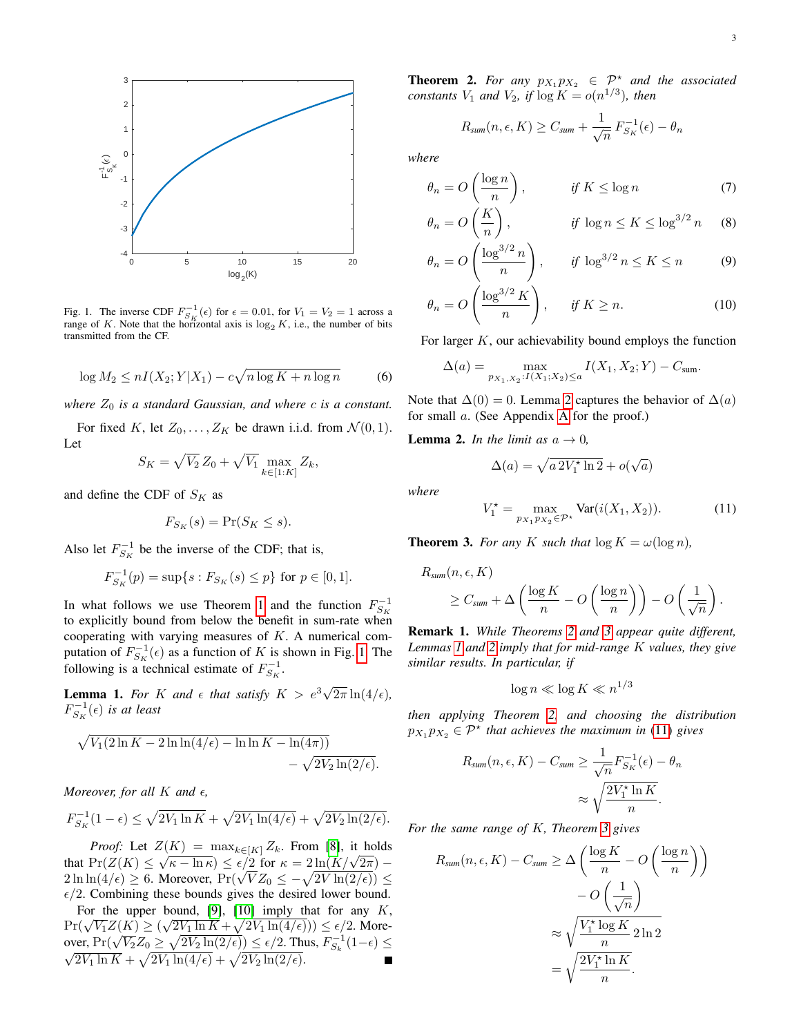

<span id="page-2-2"></span>Fig. 1. The inverse CDF  $F_{S_K}^{-1}(\epsilon)$  for  $\epsilon = 0.01$ , for  $V_1 = V_2 = 1$  across a range of K. Note that the horizontal axis is  $log_2 K$ , i.e., the number of bits transmitted from the CF.

$$
\log M_2 \le nI(X_2; Y|X_1) - c\sqrt{n\log K + n\log n} \tag{6}
$$

*where*  $Z_0$  *is a standard Gaussian, and where c is a constant.* 

For fixed K, let  $Z_0, \ldots, Z_K$  be drawn i.i.d. from  $\mathcal{N}(0, 1)$ . Let

$$
S_K = \sqrt{V_2} Z_0 + \sqrt{V_1} \max_{k \in [1:K]} Z_k,
$$

and define the CDF of  $S_K$  as

$$
F_{S_K}(s) = \Pr(S_K \le s).
$$

Also let  $F_{S_K}^{-1}$  be the inverse of the CDF; that is,

$$
F_{S_K}^{-1}(p) = \sup\{s : F_{S_K}(s) \le p\} \text{ for } p \in [0,1].
$$

In what follows we use Theorem [1](#page-1-1) and the function  $F_{S_K}^{-1}$ to explicitly bound from below the benefit in sum-rate when cooperating with varying measures of  $K$ . A numerical computation of  $F_{S_K}^{-1}(\epsilon)$  as a function of K is shown in Fig. [1.](#page-2-2) The following is a technical estimate of  $F_{S_K}^{-1}$ .

<span id="page-2-4"></span>**Lemma 1.** For K and  $\epsilon$  that satisfy  $K > e^3 \sqrt{2}$  $2\pi \ln(4/\epsilon)$ ,  $F_{S_K}^{-1}(\epsilon)$  is at least

$$
\sqrt{V_1(2\ln K - 2\ln\ln(4/\epsilon) - \ln\ln K - \ln(4\pi))}
$$

$$
- \sqrt{2V_2\ln(2/\epsilon)}.
$$

*Moreover, for all*  $K$  *and*  $\epsilon$ ,

$$
F_{S_K}^{-1}(1-\epsilon) \le \sqrt{2V_1 \ln K} + \sqrt{2V_1 \ln(4/\epsilon)} + \sqrt{2V_2 \ln(2/\epsilon)}.
$$

*Proof:* Let  $Z(K) = \max_{k \in [K]} Z_k$ . From [\[8\]](#page-13-2), it holds *Troof:* Let  $Z(K) = \max_{k \in [K]} Z_k$ . From [8], it holds<br>that  $Pr(Z(K) \leq \sqrt{\kappa - \ln \kappa}) \leq \epsilon/2$  for  $\kappa = 2\ln(K/\sqrt{2\pi})$ that  $Pr(Z(K) \le \sqrt{\kappa} - \ln \kappa) \le \epsilon/2$  for  $\kappa = 2 \ln(\frac{K}{\sqrt{2\pi}}) - 2 \ln \ln(4/\epsilon) \ge 6$ . Moreover,  $Pr(\sqrt{VZ_0} \le -\sqrt{2V \ln(2/\epsilon)}) \le$  $\epsilon/2$ . Combining these bounds gives the desired lower bound.

For the upper bound, [\[9\]](#page-13-3), [\[10\]](#page-13-4) imply that for any K, For the upper bound, [9], [10] imply that for any A,<br> $Pr(\sqrt{V_1}Z(K) \geq (\sqrt{2V_1 \ln K} + \sqrt{2V_1 \ln(4/\epsilon)})) \leq \epsilon/2$ . More-PT( $\sqrt{V_1}Z(\mathbf{A}) \leq (\sqrt{2V_1} \ln \mathbf{A} + \sqrt{2V_1} \ln(4/\epsilon))) \leq \epsilon/2$ . Moreover, Pr( $\sqrt{V_2}Z_0 \geq \sqrt{2V_2} \ln(2/\epsilon) \leq \epsilon/2$ . Thus,  $F_{S_k}^{-1}(1-\epsilon) \leq \sqrt{2V_1} \ln \bar{K} + \sqrt{2V_1} \ln(4/\epsilon) + \sqrt{2V_2} \ln(2/\epsilon)$ . <span id="page-2-0"></span>**Theorem 2.** For any  $p_{X_1}p_{X_2} \in \mathcal{P}^*$  and the associated *constants*  $V_1$  *and*  $V_2$ *, if*  $\log K = o(n^{1/3})$ *, then* 

<span id="page-2-10"></span><span id="page-2-9"></span><span id="page-2-6"></span>
$$
R_{sum}(n, \epsilon, K) \geq C_{sum} + \frac{1}{\sqrt{n}} F_{S_K}^{-1}(\epsilon) - \theta_n
$$

*where*

$$
\theta_n = O\left(\frac{\log n}{n}\right), \qquad \text{if } K \le \log n \tag{7}
$$

$$
\theta_n = O\left(\frac{K}{n}\right), \qquad \text{if } \log n \le K \le \log^{3/2} n \quad (8)
$$

$$
\theta_n = O\left(\frac{\log^{3/2} n}{n}\right), \qquad \text{if } \log^{3/2} n \le K \le n \tag{9}
$$

$$
\theta_n = O\left(\frac{\log^{3/2} K}{n}\right), \quad \text{if } K \ge n. \tag{10}
$$

For larger  $K$ , our achievability bound employs the function

$$
\Delta(a) = \max_{p_{X_1, X_2}: I(X_1; X_2) \le a} I(X_1, X_2; Y) - C_{\text{sum}}.
$$

<span id="page-2-8"></span>Note that  $\Delta(0) = 0$ . Lemma [2](#page-2-3) captures the behavior of  $\Delta(a)$ for small a. (See Appendix [A](#page-10-0) for the proof.)

<span id="page-2-3"></span>**Lemma 2.** *In the limit as*  $a \rightarrow 0$ *,* 

<span id="page-2-7"></span>
$$
\Delta(a) = \sqrt{a \, 2V_1^* \ln 2} + o(\sqrt{a})
$$

*where*

<span id="page-2-5"></span>
$$
V_1^* = \max_{p_{X_1} p_{X_2} \in \mathcal{P}^*} \text{Var}(i(X_1, X_2)).
$$
 (11)

<span id="page-2-1"></span>**Theorem 3.** *For any* K *such that*  $\log K = \omega(\log n)$ *,* 

$$
R_{sum}(n, \epsilon, K)
$$
  
\n
$$
\geq C_{sum} + \Delta \left( \frac{\log K}{n} - O\left( \frac{\log n}{n} \right) \right) - O\left( \frac{1}{\sqrt{n}} \right).
$$

Remark 1. *While Theorems [2](#page-2-0) and [3](#page-2-1) appear quite different, Lemmas [1](#page-2-4) and [2](#page-2-3) imply that for mid-range* K *values, they give similar results. In particular, if*

$$
\log n \ll \log K \ll n^{1/3}
$$

*then applying Theorem [2,](#page-2-0) and choosing the distribution*  $p_{X_1}p_{X_2} \in \mathcal{P}^*$  that achieves the maximum in [\(11\)](#page-2-5) gives

$$
R_{sum}(n, \epsilon, K) - C_{sum} \ge \frac{1}{\sqrt{n}} F_{S_K}^{-1}(\epsilon) - \theta_n
$$

$$
\approx \sqrt{\frac{2V_1^* \ln K}{n}}.
$$

*For the same range of* K*, Theorem [3](#page-2-1) gives*

$$
R_{sum}(n, \epsilon, K) - C_{sum} \ge \Delta \left( \frac{\log K}{n} - O\left(\frac{\log n}{n}\right) \right)
$$

$$
- O\left(\frac{1}{\sqrt{n}}\right)
$$

$$
\approx \sqrt{\frac{V_1^{\star} \log K}{n}} 2 \ln 2
$$

$$
= \sqrt{\frac{2V_1^{\star} \ln K}{n}}.
$$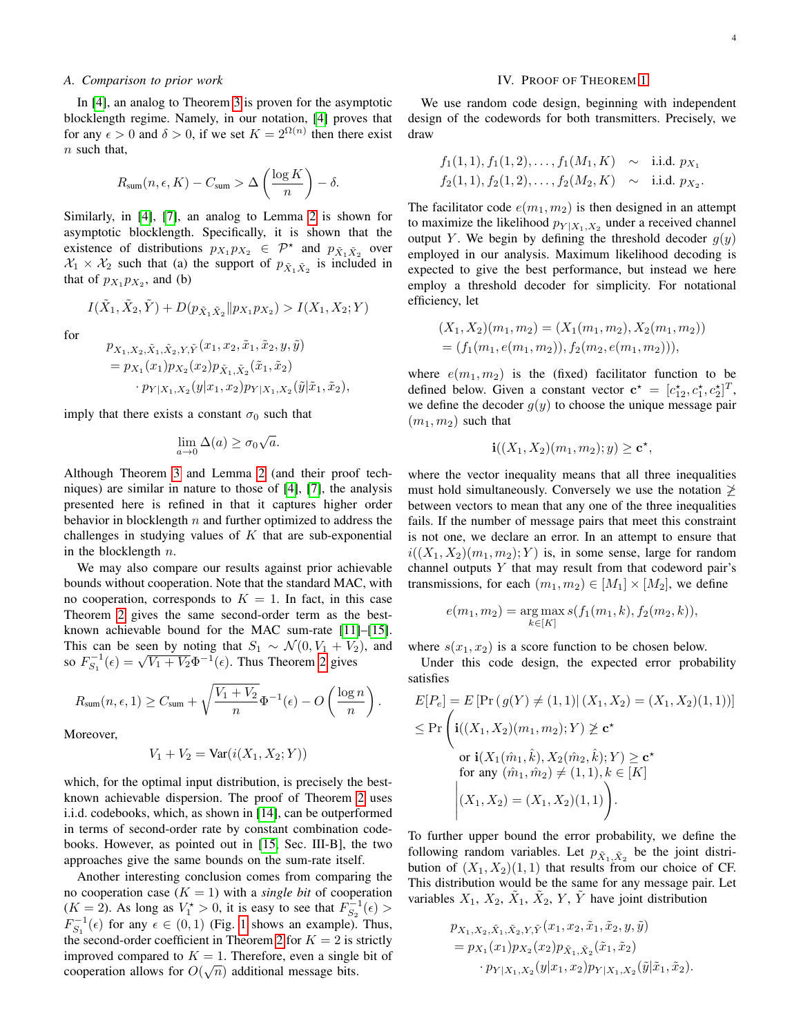#### *A. Comparison to prior work*

In [\[4\]](#page-12-3), an analog to Theorem [3](#page-2-1) is proven for the asymptotic blocklength regime. Namely, in our notation, [\[4\]](#page-12-3) proves that for any  $\epsilon > 0$  and  $\delta > 0$ , if we set  $K = 2^{\Omega(n)}$  then there exist  $n$  such that,

$$
R_{\text{sum}}(n, \epsilon, K) - C_{\text{sum}} > \Delta \left( \frac{\log K}{n} \right) - \delta.
$$

Similarly, in [\[4\]](#page-12-3), [\[7\]](#page-13-0), an analog to Lemma [2](#page-2-3) is shown for asymptotic blocklength. Specifically, it is shown that the existence of distributions  $p_{X_1} p_{X_2} \in \mathcal{P}^*$  and  $p_{\tilde{X}_1 \tilde{X}_2}$  over  $\mathcal{X}_1 \times \mathcal{X}_2$  such that (a) the support of  $p_{\tilde{X}_1 \tilde{X}_2}$  is included in that of  $p_{X_1}p_{X_2}$ , and (b)

$$
I(\tilde{X}_1, \tilde{X}_2, \tilde{Y}) + D(p_{\tilde{X}_1 \tilde{X}_2} || p_{X_1} p_{X_2}) > I(X_1, X_2; Y)
$$

for

$$
p_{X_1, X_2, \tilde{X}_1, \tilde{X}_2, Y, \tilde{Y}}(x_1, x_2, \tilde{x}_1, \tilde{x}_2, y, \tilde{y})
$$
  
=  $p_{X_1}(x_1)p_{X_2}(x_2)p_{\tilde{X}_1, \tilde{X}_2}(\tilde{x}_1, \tilde{x}_2)$   
 $\cdot p_{Y|X_1, X_2}(y|x_1, x_2)p_{Y|X_1, X_2}(\tilde{y}|\tilde{x}_1, \tilde{x}_2),$ 

imply that there exists a constant  $\sigma_0$  such that

$$
\lim_{a \to 0} \Delta(a) \ge \sigma_0 \sqrt{a}.
$$

Although Theorem [3](#page-2-1) and Lemma [2](#page-2-3) (and their proof techniques) are similar in nature to those of [\[4\]](#page-12-3), [\[7\]](#page-13-0), the analysis presented here is refined in that it captures higher order behavior in blocklength  $n$  and further optimized to address the challenges in studying values of  $K$  that are sub-exponential in the blocklength  $n$ .

We may also compare our results against prior achievable bounds without cooperation. Note that the standard MAC, with no cooperation, corresponds to  $K = 1$ . In fact, in this case Theorem [2](#page-2-0) gives the same second-order term as the bestknown achievable bound for the MAC sum-rate [\[11\]](#page-13-5)–[\[15\]](#page-13-6). This can be seen by noting that  $S_1 \sim \mathcal{N}(0, V_1 + V_2)$ , and This can be seen by noting that  $S_1 \sim N(0, V_1 + V_2)$ <br>so  $F_{S_1}^{-1}(\epsilon) = \sqrt{V_1 + V_2} \Phi^{-1}(\epsilon)$ . Thus Theorem [2](#page-2-0) gives

$$
R_{\text{sum}}(n,\epsilon,1) \geq C_{\text{sum}} + \sqrt{\frac{V_1 + V_2}{n}} \Phi^{-1}(\epsilon) - O\left(\frac{\log n}{n}\right).
$$

Moreover,

$$
V_1 + V_2 = \text{Var}(i(X_1, X_2; Y))
$$

which, for the optimal input distribution, is precisely the bestknown achievable dispersion. The proof of Theorem [2](#page-2-0) uses i.i.d. codebooks, which, as shown in [\[14\]](#page-13-7), can be outperformed in terms of second-order rate by constant combination codebooks. However, as pointed out in [\[15,](#page-13-6) Sec. III-B], the two approaches give the same bounds on the sum-rate itself.

Another interesting conclusion comes from comparing the no cooperation case  $(K = 1)$  with a *single bit* of cooperation  $(K = 2)$ . As long as  $V_1^* > 0$ , it is easy to see that  $F_{S_2}^{-1}(\epsilon) >$  $F_{S_1}^{-1}(\epsilon)$  for any  $\epsilon \in (0,1)$  (Fig. [1](#page-2-2) shows an example). Thus, the second-order coefficient in Theorem [2](#page-2-0) for  $K = 2$  is strictly improved compared to  $K = 1$ . Therefore, even a single bit of cooperation allows for  $O(\sqrt{n})$  additional message bits.

### IV. PROOF OF THEOREM [1](#page-1-1)

We use random code design, beginning with independent design of the codewords for both transmitters. Precisely, we draw

$$
f_1(1,1), f_1(1,2),..., f_1(M_1, K) \sim \text{i.i.d. } p_{X_1}
$$
  
\n $f_2(1,1), f_2(1,2),..., f_2(M_2, K) \sim \text{i.i.d. } p_{X_2}.$ 

The facilitator code  $e(m_1, m_2)$  is then designed in an attempt to maximize the likelihood  $p_{Y|X_1,X_2}$  under a received channel output Y. We begin by defining the threshold decoder  $g(y)$ employed in our analysis. Maximum likelihood decoding is expected to give the best performance, but instead we here employ a threshold decoder for simplicity. For notational efficiency, let

$$
(X_1, X_2)(m_1, m_2) = (X_1(m_1, m_2), X_2(m_1, m_2))
$$
  
=  $(f_1(m_1, e(m_1, m_2)), f_2(m_2, e(m_1, m_2))),$ 

where  $e(m_1, m_2)$  is the (fixed) facilitator function to be defined below. Given a constant vector  $\mathbf{c}^* = [c_{12}^*, c_1^*, c_2^*]^T$ , we define the decoder  $g(y)$  to choose the unique message pair  $(m_1, m_2)$  such that

$$
\mathbf{i}((X_1,X_2)(m_1,m_2);y) \ge \mathbf{c}^{\star},
$$

where the vector inequality means that all three inequalities must hold simultaneously. Conversely we use the notation  $\geq$ between vectors to mean that any one of the three inequalities fails. If the number of message pairs that meet this constraint is not one, we declare an error. In an attempt to ensure that  $i((X_1, X_2)(m_1, m_2); Y)$  is, in some sense, large for random channel outputs  $Y$  that may result from that codeword pair's transmissions, for each  $(m_1, m_2) \in [M_1] \times [M_2]$ , we define

$$
e(m_1, m_2) = \underset{k \in [K]}{\arg \max} s(f_1(m_1, k), f_2(m_2, k)),
$$

where  $s(x_1, x_2)$  is a score function to be chosen below.

Under this code design, the expected error probability satisfies

$$
E[P_e] = E[\Pr(g(Y) \neq (1,1)| (X_1, X_2) = (X_1, X_2)(1,1))]
$$
  
\n
$$
\leq \Pr \left( \mathbf{i}((X_1, X_2)(m_1, m_2); Y) \not\geq \mathbf{c}^*
$$
  
\nor  $\mathbf{i}(X_1(\hat{m}_1, \hat{k}), X_2(\hat{m}_2, \hat{k}); Y) \geq \mathbf{c}^*$   
\nfor any  $(\hat{m}_1, \hat{m}_2) \neq (1, 1), k \in [K]$   
\n
$$
(X_1, X_2) = (X_1, X_2)(1, 1) \right).
$$

To further upper bound the error probability, we define the following random variables. Let  $p_{\tilde{X}_1, \tilde{X}_2}$  be the joint distribution of  $(X_1, X_2)(1, 1)$  that results from our choice of CF. This distribution would be the same for any message pair. Let variables  $X_1$ ,  $X_2$ ,  $\tilde{X}_1$ ,  $\tilde{X}_2$ ,  $Y$ ,  $\tilde{Y}$  have joint distribution

$$
p_{X_1, X_2, \tilde{X}_1, \tilde{X}_2, Y, \tilde{Y}}(x_1, x_2, \tilde{x}_1, \tilde{x}_2, y, \tilde{y})
$$
  
=  $p_{X_1}(x_1)p_{X_2}(x_2)p_{\tilde{X}_1, \tilde{X}_2}(\tilde{x}_1, \tilde{x}_2)$   
 $\cdot p_{Y|X_1, X_2}(y|x_1, x_2)p_{Y|X_1, X_2}(\tilde{y}|\tilde{x}_1, \tilde{x}_2).$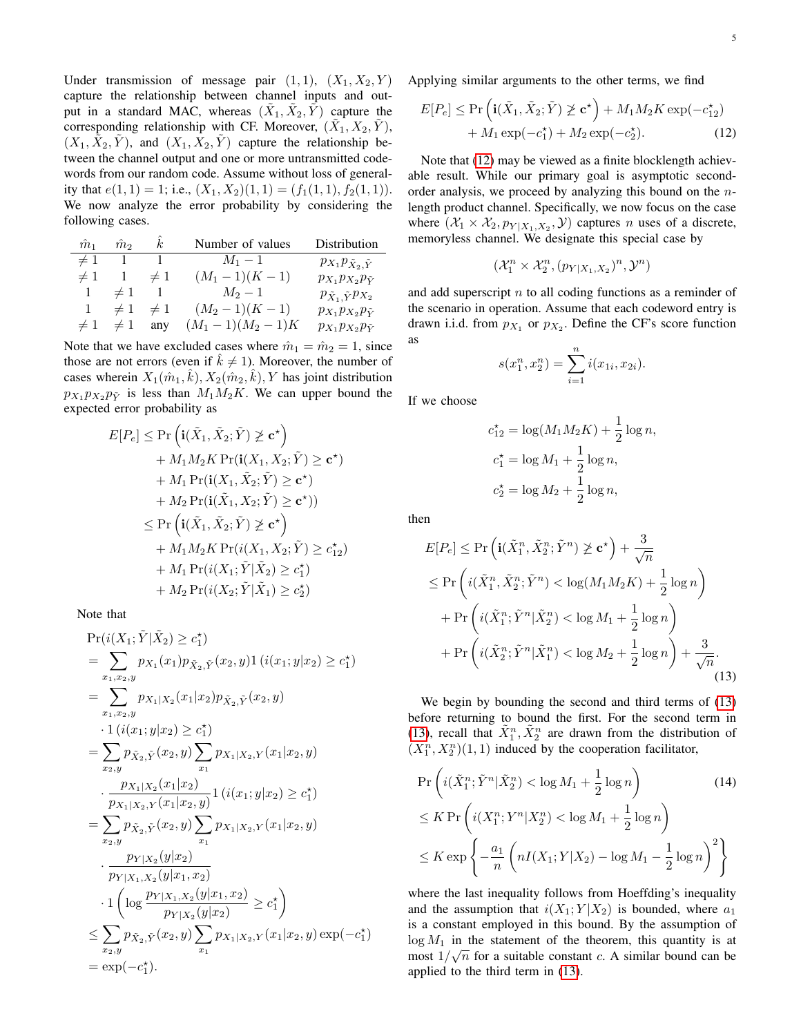Under transmission of message pair  $(1, 1)$ ,  $(X_1, X_2, Y)$ capture the relationship between channel inputs and output in a standard MAC, whereas  $(\tilde{X}_1, \tilde{X}_2, \tilde{Y})$  capture the corresponding relationship with CF. Moreover,  $(\tilde{X}_1, X_2, \tilde{Y})$ ,  $(X_1, \tilde{X}_2, \tilde{Y})$ , and  $(X_1, X_2, \tilde{Y})$  capture the relationship between the channel output and one or more untransmitted codewords from our random code. Assume without loss of generality that  $e(1, 1) = 1$ ; i.e.,  $(X_1, X_2)(1, 1) = (f_1(1, 1), f_2(1, 1)).$ We now analyze the error probability by considering the following cases.

| $\hat{m}_1$ | $\hat{m}_2$ | k <sub>i</sub> | Number of values  | Distribution                         |
|-------------|-------------|----------------|-------------------|--------------------------------------|
| $\neq 1$    |             |                | $M_1 - 1$         | $p_{X_1}p_{\tilde{X}_2,\tilde{Y}}$   |
| $\neq 1$    |             | $\neq 1$       | $(M_1-1)(K-1)$    | $p_{X_1}p_{X_2}p_{\tilde{Y}}$        |
|             | $\neq 1$    |                | $M_2 - 1$         | $p_{\tilde{X}_1, \tilde{Y}} p_{X_2}$ |
| 1.          | $\neq 1$    | $\neq 1$       | $(M_2-1)(K-1)$    | $p_{X_1}p_{X_2}p_{\tilde{Y}}$        |
| $\neq 1$    | $\neq 1$    | any            | $(M_1-1)(M_2-1)K$ | $p_{X_1}p_{X_2}p_{\tilde{Y}}$        |

Note that we have excluded cases where  $\hat{m}_1 = \hat{m}_2 = 1$ , since those are not errors (even if  $k \neq 1$ ). Moreover, the number of cases wherein  $X_1(\hat{m}_1, \hat{k}), X_2(\hat{m}_2, \hat{k}), Y$  has joint distribution  $p_{X_1} p_{X_2} p_{\tilde{Y}}$  is less than  $M_1 M_2 K$ . We can upper bound the expected error probability as

$$
E[P_e] \leq \Pr\left(\mathbf{i}(\tilde{X}_1, \tilde{X}_2; \tilde{Y}) \ngeq \mathbf{c}^{\star}\right) + M_1 M_2 K \Pr(\mathbf{i}(X_1, X_2; \tilde{Y}) \geq \mathbf{c}^{\star}) + M_1 \Pr(\mathbf{i}(X_1, \tilde{X}_2; \tilde{Y}) \geq \mathbf{c}^{\star}) + M_2 \Pr(\mathbf{i}(\tilde{X}_1, X_2; \tilde{Y}) \geq \mathbf{c}^{\star})) \leq \Pr\left(\mathbf{i}(\tilde{X}_1, \tilde{X}_2; \tilde{Y}) \ngeq \mathbf{c}^{\star}\right) + M_1 M_2 K \Pr(i(X_1, X_2; \tilde{Y}) \geq c_{12}^{\star}) + M_1 \Pr(i(X_1; \tilde{Y} | \tilde{X}_2) \geq c_1^{\star}) + M_2 \Pr(i(X_2; \tilde{Y} | \tilde{X}_1) \geq c_2^{\star})
$$

Note that

$$
Pr(i(X_1; \tilde{Y} | \tilde{X}_2) \geq c_1^{\star})
$$
\n
$$
= \sum_{x_1, x_2, y} p_{X_1}(x_1) p_{\tilde{X}_2, \tilde{Y}}(x_2, y) 1 (i(x_1; y | x_2) \geq c_1^{\star})
$$
\n
$$
= \sum_{x_1, x_2, y} p_{X_1 | X_2}(x_1 | x_2) p_{\tilde{X}_2, \tilde{Y}}(x_2, y)
$$
\n
$$
\cdot 1 (i(x_1; y | x_2) \geq c_1^{\star})
$$
\n
$$
= \sum_{x_2, y} p_{\tilde{X}_2, \tilde{Y}}(x_2, y) \sum_{x_1} p_{X_1 | X_2, Y}(x_1 | x_2, y)
$$
\n
$$
\cdot \frac{p_{X_1 | X_2}(x_1 | x_2)}{p_{X_1 | X_2, Y}(x_1 | x_2, y)} 1 (i(x_1; y | x_2) \geq c_1^{\star})
$$
\n
$$
= \sum_{x_2, y} p_{\tilde{X}_2, \tilde{Y}}(x_2, y) \sum_{x_1} p_{X_1 | X_2, Y}(x_1 | x_2, y)
$$
\n
$$
\cdot \frac{p_{Y | X_2}(y | x_2)}{p_{Y | X_1, X_2}(y | x_1, x_2)}
$$
\n
$$
\cdot 1 (\log \frac{p_{Y | X_1, X_2}(y | x_1, x_2)}{p_{Y | X_2}(y | x_2)} \geq c_1^{\star})
$$
\n
$$
\leq \sum_{x_2, y} p_{\tilde{X}_2, \tilde{Y}}(x_2, y) \sum_{x_1} p_{X_1 | X_2, Y}(x_1 | x_2, y) \exp(-c_1^{\star})
$$
\n
$$
= \exp(-c_1^{\star}).
$$

Applying similar arguments to the other terms, we find

$$
E[P_e] \le \Pr\left(\mathbf{i}(\tilde{X}_1, \tilde{X}_2; \tilde{Y}) \not\ge \mathbf{c}^{\star}\right) + M_1 M_2 K \exp(-c_{12}^{\star}) + M_1 \exp(-c_1^{\star}) + M_2 \exp(-c_2^{\star}).
$$
 (12)

Note that [\(12\)](#page-4-0) may be viewed as a finite blocklength achievable result. While our primary goal is asymptotic secondorder analysis, we proceed by analyzing this bound on the nlength product channel. Specifically, we now focus on the case where  $(X_1 \times X_2, p_{Y|X_1, X_2}, Y)$  captures *n* uses of a discrete, memoryless channel. We designate this special case by

<span id="page-4-0"></span>
$$
(\mathcal{X}_1^n \times \mathcal{X}_2^n, (p_{Y|X_1,X_2})^n, \mathcal{Y}^n)
$$

and add superscript  $n$  to all coding functions as a reminder of the scenario in operation. Assume that each codeword entry is drawn i.i.d. from  $p_{X_1}$  or  $p_{X_2}$ . Define the CF's score function as

$$
s(x_1^n, x_2^n) = \sum_{i=1}^n i(x_{1i}, x_{2i}).
$$

If we choose

$$
c_{12}^* = \log(M_1 M_2 K) + \frac{1}{2} \log n,
$$
  
\n
$$
c_1^* = \log M_1 + \frac{1}{2} \log n,
$$
  
\n
$$
c_2^* = \log M_2 + \frac{1}{2} \log n,
$$

then

$$
E[P_e] \leq \Pr\left(\mathbf{i}(\tilde{X}_1^n, \tilde{X}_2^n; \tilde{Y}^n) \not\geq \mathbf{c}^{\star}\right) + \frac{3}{\sqrt{n}}
$$
  
\n
$$
\leq \Pr\left(i(\tilde{X}_1^n, \tilde{X}_2^n; \tilde{Y}^n) < \log(M_1 M_2 K) + \frac{1}{2} \log n\right)
$$
  
\n
$$
+ \Pr\left(i(\tilde{X}_1^n; \tilde{Y}^n | \tilde{X}_2^n) < \log M_1 + \frac{1}{2} \log n\right)
$$
  
\n
$$
+ \Pr\left(i(\tilde{X}_2^n; \tilde{Y}^n | \tilde{X}_1^n) < \log M_2 + \frac{1}{2} \log n\right) + \frac{3}{\sqrt{n}}.
$$
\n(13)

<span id="page-4-1"></span>We begin by bounding the second and third terms of [\(13\)](#page-4-1) before returning to bound the first. For the second term in [\(13\)](#page-4-1), recall that  $\tilde{X}_1^n$ ,  $\tilde{X}_2^n$  are drawn from the distribution of  $(X_1^n, X_2^n)(1, 1)$  induced by the cooperation facilitator,

<span id="page-4-2"></span>
$$
\Pr\left(i(\tilde{X}_1^n; \tilde{Y}^n | \tilde{X}_2^n) < \log M_1 + \frac{1}{2} \log n\right) \tag{14}
$$
\n
$$
\leq K \Pr\left(i(X_1^n; Y^n | X_2^n) < \log M_1 + \frac{1}{2} \log n\right)
$$
\n
$$
\leq K \exp\left\{-\frac{a_1}{n} \left(nI(X_1; Y | X_2) - \log M_1 - \frac{1}{2} \log n\right)^2\right\}
$$

where the last inequality follows from Hoeffding's inequality and the assumption that  $i(X_1; Y | X_2)$  is bounded, where  $a_1$ is a constant employed in this bound. By the assumption of  $\log M_1$  in the statement of the theorem, this quantity is at most  $1/\sqrt{n}$  for a suitable constant c. A similar bound can be applied to the third term in [\(13\)](#page-4-1).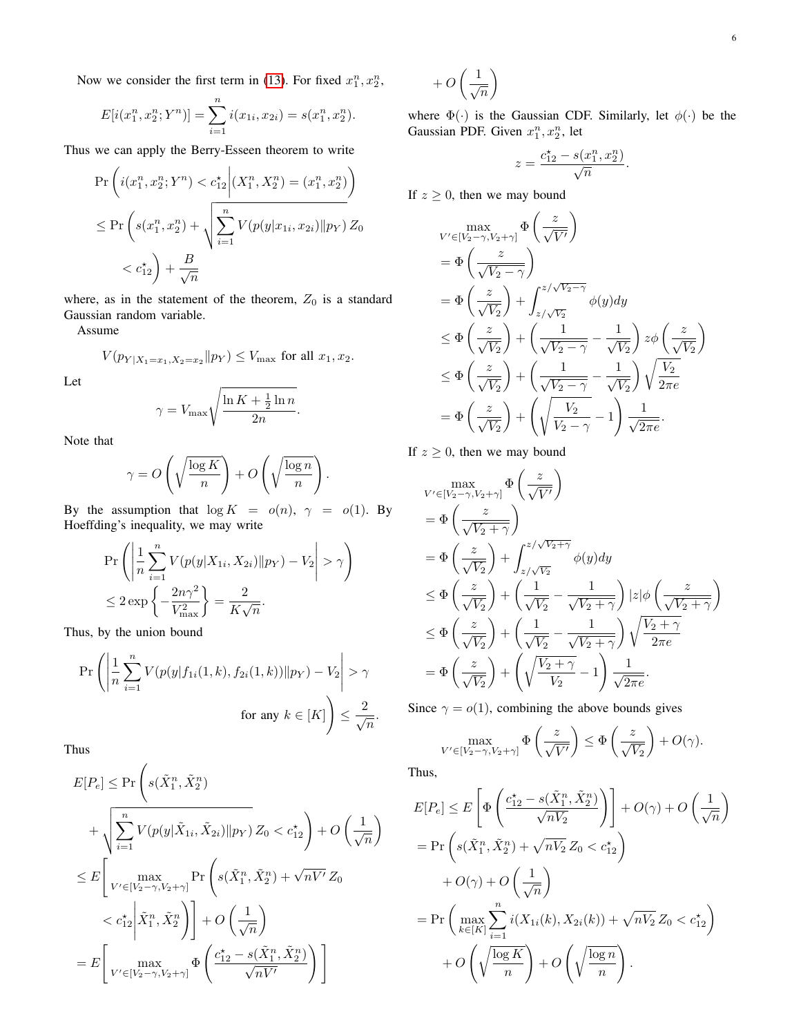Now we consider the first term in [\(13\)](#page-4-1). For fixed  $x_1^n, x_2^n$ ,

$$
E[i(x_1^n, x_2^n; Y^n)] = \sum_{i=1}^n i(x_{1i}, x_{2i}) = s(x_1^n, x_2^n).
$$

Thus we can apply the Berry-Esseen theorem to write

$$
\Pr\left(i(x_1^n, x_2^n; Y^n) < c_{12}^* \middle| (X_1^n, X_2^n) = (x_1^n, x_2^n) \right) \\
\leq \Pr\left(s(x_1^n, x_2^n) + \sqrt{\sum_{i=1}^n V(p(y|x_{1i}, x_{2i}) \| p_Y)} Z_0 \right) \\
\leq c_{12}^* \right) + \frac{B}{\sqrt{n}}
$$

where, as in the statement of the theorem,  $Z_0$  is a standard Gaussian random variable.

Assume

$$
V(p_{Y|X_1=x_1,X_2=x_2}||p_Y) \le V_{\text{max}}
$$
 for all  $x_1, x_2$ .

Let

$$
\gamma = V_{\text{max}} \sqrt{\frac{\ln K + \frac{1}{2} \ln n}{2n}}.
$$

Note that

$$
\gamma = O\left(\sqrt{\frac{\log K}{n}}\right) + O\left(\sqrt{\frac{\log n}{n}}\right).
$$

By the assumption that  $\log K = o(n)$ ,  $\gamma = o(1)$ . By Hoeffding's inequality, we may write

$$
\Pr\left(\left|\frac{1}{n}\sum_{i=1}^{n}V(p(y|X_{1i}, X_{2i})||p_Y) - V_2\right| > \gamma\right)
$$
  

$$
\leq 2\exp\left\{-\frac{2n\gamma^2}{V_{\text{max}}^2}\right\} = \frac{2}{K\sqrt{n}}.
$$

Thus, by the union bound

$$
\Pr\left(\left|\frac{1}{n}\sum_{i=1}^{n}V(p(y|f_{1i}(1,k), f_{2i}(1,k))\|p_Y) - V_2\right| > \gamma
$$
\n
$$
\text{for any } k \in [K]\right) \le \frac{2}{\sqrt{n}}.
$$

Thus

$$
E[P_e] \leq \Pr\left(s(\tilde{X}_1^n, \tilde{X}_2^n) + \sqrt{\sum_{i=1}^n V(p(y|\tilde{X}_{1i}, \tilde{X}_{2i})||p_Y)} Z_0 < c_{12}^*\right) + O\left(\frac{1}{\sqrt{n}}\right)
$$
\n
$$
\leq E\left[\max_{V' \in [V_2 - \gamma, V_2 + \gamma]} \Pr\left(s(\tilde{X}_1^n, \tilde{X}_2^n) + \sqrt{nV'} Z_0\right) \right]
$$
\n
$$
\leq c_{12}^*\left|\tilde{X}_1^n, \tilde{X}_2^n\right)\right] + O\left(\frac{1}{\sqrt{n}}\right)
$$
\n
$$
= E\left[\max_{V' \in [V_2 - \gamma, V_2 + \gamma]} \Phi\left(\frac{c_{12}^* - s(\tilde{X}_1^n, \tilde{X}_2^n)}{\sqrt{nV'}}\right)\right]
$$

$$
+\,O\left(\frac{1}{\sqrt{n}}\right)
$$

where  $\Phi(\cdot)$  is the Gaussian CDF. Similarly, let  $\phi(\cdot)$  be the Gaussian PDF. Given  $x_1^n, x_2^n$ , let

$$
z = \frac{c_{12}^{\star} - s(x_1^n, x_2^n)}{\sqrt{n}}.
$$

If  $z \geq 0$ , then we may bound

$$
\max_{V' \in [V_2 - \gamma, V_2 + \gamma]} \Phi\left(\frac{z}{\sqrt{V'}}\right)
$$
\n
$$
= \Phi\left(\frac{z}{\sqrt{V_2} - \gamma}\right)
$$
\n
$$
= \Phi\left(\frac{z}{\sqrt{V_2}}\right) + \int_{z/\sqrt{V_2}}^{z/\sqrt{V_2 - \gamma}} \phi(y) dy
$$
\n
$$
\leq \Phi\left(\frac{z}{\sqrt{V_2}}\right) + \left(\frac{1}{\sqrt{V_2 - \gamma}} - \frac{1}{\sqrt{V_2}}\right) z \phi\left(\frac{z}{\sqrt{V_2}}\right)
$$
\n
$$
\leq \Phi\left(\frac{z}{\sqrt{V_2}}\right) + \left(\frac{1}{\sqrt{V_2 - \gamma}} - \frac{1}{\sqrt{V_2}}\right) \sqrt{\frac{V_2}{2\pi e}}
$$
\n
$$
= \Phi\left(\frac{z}{\sqrt{V_2}}\right) + \left(\sqrt{\frac{V_2}{V_2 - \gamma}} - 1\right) \frac{1}{\sqrt{2\pi e}}.
$$

If  $z \geq 0$ , then we may bound

$$
\max_{V' \in [V_2 - \gamma, V_2 + \gamma]} \Phi\left(\frac{z}{\sqrt{V'}}\right)
$$
\n
$$
= \Phi\left(\frac{z}{\sqrt{V_2} + \gamma}\right)
$$
\n
$$
= \Phi\left(\frac{z}{\sqrt{V_2}}\right) + \int_{z/\sqrt{V_2}}^{z/\sqrt{V_2} + \gamma} \phi(y) dy
$$
\n
$$
\leq \Phi\left(\frac{z}{\sqrt{V_2}}\right) + \left(\frac{1}{\sqrt{V_2}} - \frac{1}{\sqrt{V_2} + \gamma}\right) |z| \phi\left(\frac{z}{\sqrt{V_2} + \gamma}\right)
$$
\n
$$
\leq \Phi\left(\frac{z}{\sqrt{V_2}}\right) + \left(\frac{1}{\sqrt{V_2}} - \frac{1}{\sqrt{V_2} + \gamma}\right) \sqrt{\frac{V_2 + \gamma}{2\pi e}}
$$
\n
$$
= \Phi\left(\frac{z}{\sqrt{V_2}}\right) + \left(\sqrt{\frac{V_2 + \gamma}{V_2}} - 1\right) \frac{1}{\sqrt{2\pi e}}.
$$

Since  $\gamma = o(1)$ , combining the above bounds gives

$$
\max_{V' \in [V_2 - \gamma, V_2 + \gamma]} \Phi\left(\frac{z}{\sqrt{V'}}\right) \le \Phi\left(\frac{z}{\sqrt{V_2}}\right) + O(\gamma).
$$

Thus,

$$
E[P_e] \leq E\left[\Phi\left(\frac{c_{12}^* - s(\tilde{X}_1^n, \tilde{X}_2^n)}{\sqrt{nV_2}}\right)\right] + O(\gamma) + O\left(\frac{1}{\sqrt{n}}\right)
$$
  
=  $\Pr\left(s(\tilde{X}_1^n, \tilde{X}_2^n) + \sqrt{nV_2} Z_0 < c_{12}^*\right)$   
+  $O(\gamma) + O\left(\frac{1}{\sqrt{n}}\right)$   
=  $\Pr\left(\max_{k \in [K]} \sum_{i=1}^n i(X_{1i}(k), X_{2i}(k)) + \sqrt{nV_2} Z_0 < c_{12}^*\right)$   
+  $O\left(\sqrt{\frac{\log K}{n}}\right) + O\left(\sqrt{\frac{\log n}{n}}\right).$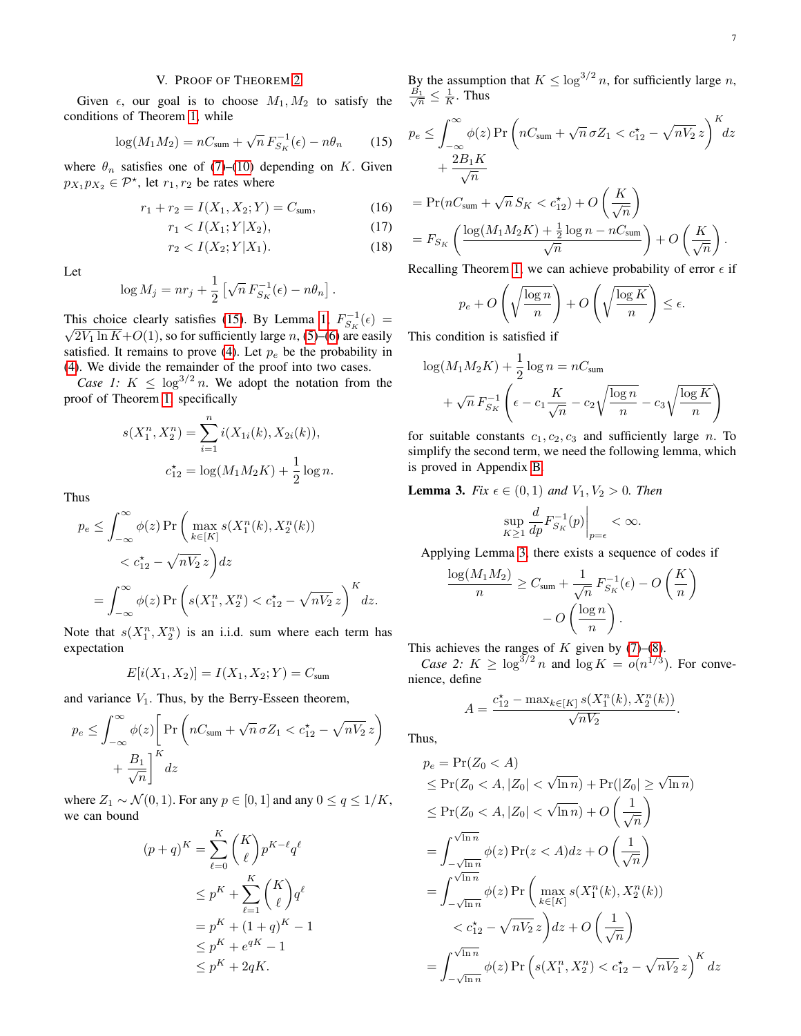# V. PROOF OF THEOREM [2](#page-2-0)

Given  $\epsilon$ , our goal is to choose  $M_1, M_2$  to satisfy the conditions of Theorem [1,](#page-1-1) while

<span id="page-6-0"></span>
$$
\log(M_1 M_2) = nC_{\text{sum}} + \sqrt{n} F_{S_K}^{-1}(\epsilon) - n\theta_n \qquad (15)
$$

where  $\theta_n$  satisfies one of [\(7\)](#page-2-6)–[\(10\)](#page-2-7) depending on K. Given  $p_{X_1}p_{X_2} \in \mathcal{P}^*$ , let  $r_1, r_2$  be rates where

$$
r_1 + r_2 = I(X_1, X_2; Y) = C_{\text{sum}}, \tag{16}
$$

$$
r_1 < I(X_1; Y | X_2), \tag{17}
$$

$$
r_2 < I(X_2; Y | X_1). \tag{18}
$$

Let

$$
\log M_j = nr_j + \frac{1}{2} \left[ \sqrt{n} F_{S_K}^{-1}(\epsilon) - n\theta_n \right].
$$

This choice clearly satisfies [\(15\)](#page-6-0). By Lemma [1,](#page-2-4)  $F_{S_K}^{-1}(\epsilon) =$  $\sqrt{2V_1 \ln K}$ +O(1), so for sufficiently large n, [\(5\)](#page-1-2)–[\(6\)](#page-2-8) are easily satisfied. It remains to prove [\(4\)](#page-1-3). Let  $p_e$  be the probability in [\(4\)](#page-1-3). We divide the remainder of the proof into two cases.

*Case 1:*  $K \leq \log^{3/2} n$ . We adopt the notation from the proof of Theorem [1,](#page-1-1) specifically

$$
s(X_1^n, X_2^n) = \sum_{i=1}^n i(X_{1i}(k), X_{2i}(k)),
$$
  

$$
c_{12}^* = \log(M_1 M_2 K) + \frac{1}{2} \log n.
$$

Thus

$$
p_e \leq \int_{-\infty}^{\infty} \phi(z) \Pr\left(\max_{k \in [K]} s(X_1^n(k), X_2^n(k))\right)
$$
  
< 
$$
< c_{12}^* - \sqrt{nV_2} z\right) dz
$$
  

$$
= \int_{-\infty}^{\infty} \phi(z) \Pr\left(s(X_1^n, X_2^n) < c_{12}^* - \sqrt{nV_2} z\right)^K dz.
$$

Note that  $s(X_1^n, X_2^n)$  is an i.i.d. sum where each term has expectation

$$
E[i(X_1, X_2)] = I(X_1, X_2; Y) = C_{\text{sum}}
$$

and variance  $V_1$ . Thus, by the Berry-Esseen theorem,

$$
p_e \leq \int_{-\infty}^{\infty} \phi(z) \left[ \Pr \left( nC_{\text{sum}} + \sqrt{n} \sigma Z_1 < c_{12}^{\star} - \sqrt{nV_2} \, z \right) + \frac{B_1}{\sqrt{n}} \right]^{K} dz
$$

where  $Z_1 \sim \mathcal{N}(0, 1)$ . For any  $p \in [0, 1]$  and any  $0 \le q \le 1/K$ , we can bound

$$
(p+q)^K = \sum_{\ell=0}^K {K \choose \ell} p^{K-\ell} q^{\ell}
$$
  
\n
$$
\leq p^K + \sum_{\ell=1}^K {K \choose \ell} q^{\ell}
$$
  
\n
$$
= p^K + (1+q)^K - 1
$$
  
\n
$$
\leq p^K + e^{qK} - 1
$$
  
\n
$$
\leq p^K + 2qK.
$$

By the assumption that  $K \leq \log^{3/2} n$ , for sufficiently large n,  $\frac{B_1}{\sqrt{n}} \leq \frac{1}{K}$ . Thus

$$
p_e \le \int_{-\infty}^{\infty} \phi(z) \Pr\left(nC_{\text{sum}} + \sqrt{n} \sigma Z_1 < c_{12}^* - \sqrt{nV_2} \, z\right)^K dz
$$
\n
$$
+ \frac{2B_1 K}{\sqrt{n}}
$$
\n
$$
= \Pr(nC_{\text{sum}} + \sqrt{n} \, S_K < c_{12}^*) + O\left(\frac{K}{\sqrt{n}}\right)
$$
\n
$$
= F_{S_K} \left(\frac{\log(M_1 M_2 K) + \frac{1}{2} \log n - nC_{\text{sum}}}{\sqrt{n}}\right) + O\left(\frac{K}{\sqrt{n}}\right).
$$
\nBoselling Theorem 1, we can achieve probability of error, if

<span id="page-6-3"></span><span id="page-6-2"></span>Recalling Theorem [1,](#page-1-1) we can achieve probability of error  $\epsilon$  if

$$
p_e + O\left(\sqrt{\frac{\log n}{n}}\right) + O\left(\sqrt{\frac{\log K}{n}}\right) \le \epsilon.
$$

This condition is satisfied if

$$
\log(M_1 M_2 K) + \frac{1}{2} \log n = nC_{\text{sum}}
$$

$$
+ \sqrt{n} F_{S_K}^{-1} \left( \epsilon - c_1 \frac{K}{\sqrt{n}} - c_2 \sqrt{\frac{\log n}{n}} - c_3 \sqrt{\frac{\log K}{n}} \right)
$$

for suitable constants  $c_1, c_2, c_3$  and sufficiently large n. To simplify the second term, we need the following lemma, which is proved in Appendix [B.](#page-11-0)

<span id="page-6-1"></span>**Lemma 3.** *Fix*  $\epsilon \in (0, 1)$  *and*  $V_1, V_2 > 0$ *. Then* 

$$
\sup_{K\geq 1} \frac{d}{dp} F_{S_K}^{-1}(p) \Big|_{p=\epsilon} < \infty.
$$

Applying Lemma [3,](#page-6-1) there exists a sequence of codes if

$$
\frac{\log(M_1 M_2)}{n} \ge C_{\text{sum}} + \frac{1}{\sqrt{n}} F_{S_K}^{-1}(\epsilon) - O\left(\frac{K}{n}\right)
$$

$$
- O\left(\frac{\log n}{n}\right).
$$

This achieves the ranges of  $K$  given by [\(7\)](#page-2-6)–[\(8\)](#page-2-9).

*Case 2:*  $K \geq \log^{3/2} n$  and  $\log K = o(n^{1/3})$ . For convenience, define

$$
A = \frac{c_{12}^* - \max_{k \in [K]} s(X_1^n(k), X_2^n(k))}{\sqrt{nV_2}}.
$$

Thus,

$$
p_e = \Pr(Z_0 < A)
$$
\n
$$
\leq \Pr(Z_0 < A, |Z_0| < \sqrt{\ln n}) + \Pr(|Z_0| \geq \sqrt{\ln n})
$$
\n
$$
\leq \Pr(Z_0 < A, |Z_0| < \sqrt{\ln n}) + O\left(\frac{1}{\sqrt{n}}\right)
$$
\n
$$
= \int_{-\sqrt{\ln n}}^{\sqrt{\ln n}} \phi(z) \Pr(z < A) dz + O\left(\frac{1}{\sqrt{n}}\right)
$$
\n
$$
= \int_{-\sqrt{\ln n}}^{\sqrt{\ln n}} \phi(z) \Pr\left(\max_{k \in [K]} s(X_1^n(k), X_2^n(k))\right)
$$
\n
$$
\lt c_{12}^* - \sqrt{nV_2} z \right) dz + O\left(\frac{1}{\sqrt{n}}\right)
$$
\n
$$
= \int_{-\sqrt{\ln n}}^{\sqrt{\ln n}} \phi(z) \Pr\left(s(X_1^n, X_2^n) < c_{12}^* - \sqrt{nV_2} z\right)^K dz
$$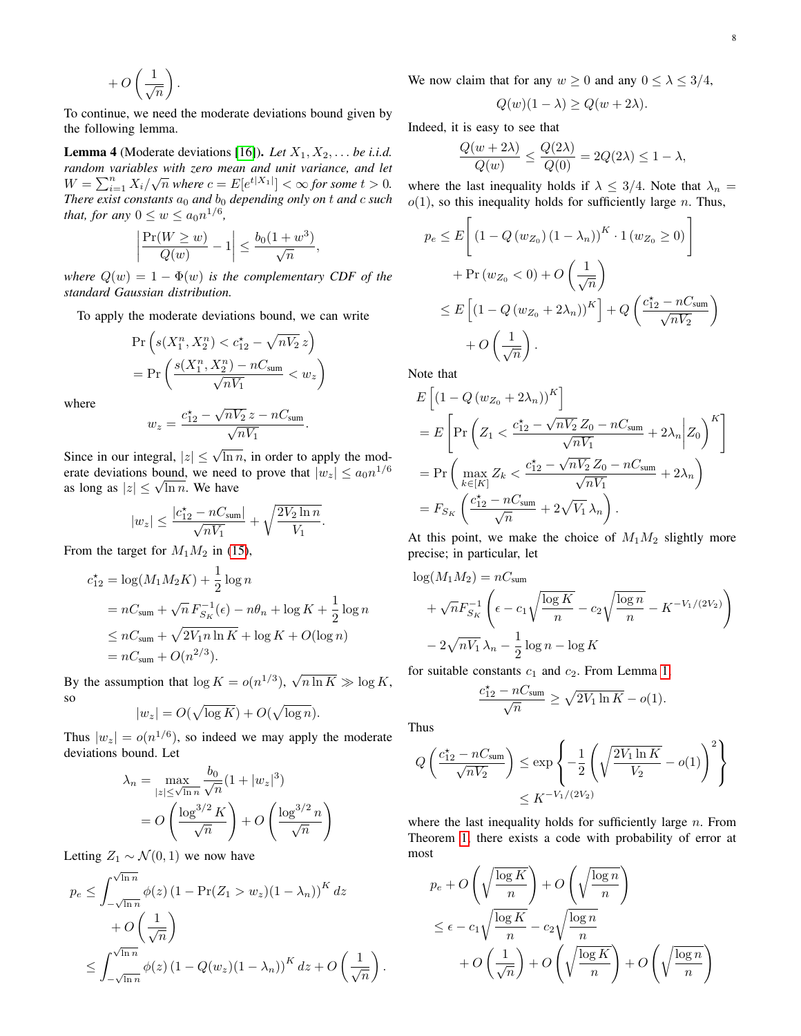$$
+O\left(\frac{1}{\sqrt{n}}\right).
$$

To continue, we need the moderate deviations bound given by the following lemma.

**Lemma 4** (Moderate deviations [\[16\]](#page-13-8)). *Let*  $X_1, X_2, \ldots$  *be i.i.d. random variables with zero mean and unit variance, and let* Fundom variables with zero mean and and variance, and let  $W = \sum_{i=1}^n X_i/\sqrt{n}$  where  $c = E[e^{t|X_1|}] < \infty$  for some  $t > 0$ . *There exist constants*  $a_0$  *and*  $b_0$  *depending only on t and c such that, for any*  $0 \leq w \leq a_0 n^{1/6}$ ,

$$
\left|\frac{\Pr(W \ge w)}{Q(w)} - 1\right| \le \frac{b_0(1+w^3)}{\sqrt{n}},
$$

*where*  $Q(w) = 1 - \Phi(w)$  *is the complementary CDF of the standard Gaussian distribution.*

To apply the moderate deviations bound, we can write

$$
\Pr\left(s(X_1^n, X_2^n) < c_{12}^* - \sqrt{nV_2} \, z\right) \\
= \Pr\left(\frac{s(X_1^n, X_2^n) - nC_{\text{sum}}}{\sqrt{nV_1}} < w_z\right)
$$

where

$$
w_z = \frac{c_{12}^{\star} - \sqrt{nV_2} z - nC_{\text{sum}}}{\sqrt{nV_1}}.
$$

Since in our integral,  $|z| \le \sqrt{\ln n}$ , in order to apply the moderate deviations bound, we need to prove that  $|w_z| \le a_0 n^{1/6}$ erate deviations bound, we need<br>as long as  $|z| \leq \sqrt{\ln n}$ . We have

$$
|w_z| \leq \frac{|c_{12}^{\star} - nC_{\text{sum}}|}{\sqrt{nV_1}} + \sqrt{\frac{2V_2 \ln n}{V_1}}.
$$

From the target for  $M_1M_2$  in [\(15\)](#page-6-0),

$$
c_{12}^* = \log(M_1 M_2 K) + \frac{1}{2} \log n
$$
  
=  $nC_{\text{sum}} + \sqrt{n} F_{S_K}^{-1}(\epsilon) - n\theta_n + \log K + \frac{1}{2} \log n$   
 $\leq nC_{\text{sum}} + \sqrt{2V_{1}n \ln K} + \log K + O(\log n)$   
=  $nC_{\text{sum}} + O(n^{2/3}).$ 

By the assumption that  $\log K = o(n^{1/3})$ , √  $n \ln K \gg \log K$ , so

$$
|w_z| = O(\sqrt{\log K}) + O(\sqrt{\log n}).
$$

Thus  $|w_z| = o(n^{1/6})$ , so indeed we may apply the moderate deviations bound. Let

$$
\lambda_n = \max_{|z| \le \sqrt{\ln n}} \frac{b_0}{\sqrt{n}} (1 + |w_z|^3)
$$

$$
= O\left(\frac{\log^{3/2} K}{\sqrt{n}}\right) + O\left(\frac{\log^{3/2} n}{\sqrt{n}}\right)
$$

Letting  $Z_1 \sim \mathcal{N}(0, 1)$  we now have

$$
p_e \le \int_{-\sqrt{\ln n}}^{\sqrt{\ln n}} \phi(z) (1 - \Pr(Z_1 > w_z)(1 - \lambda_n))^K dz
$$
  
+  $O\left(\frac{1}{\sqrt{n}}\right)$   
 $\le \int_{-\sqrt{\ln n}}^{\sqrt{\ln n}} \phi(z) (1 - Q(w_z)(1 - \lambda_n))^K dz + O\left(\frac{1}{\sqrt{n}}\right).$ 

We now claim that for any  $w \ge 0$  and any  $0 \le \lambda \le 3/4$ ,

$$
Q(w)(1 - \lambda) \ge Q(w + 2\lambda).
$$

Indeed, it is easy to see that

$$
\frac{Q(w+2\lambda)}{Q(w)} \le \frac{Q(2\lambda)}{Q(0)} = 2Q(2\lambda) \le 1 - \lambda,
$$

where the last inequality holds if  $\lambda \leq 3/4$ . Note that  $\lambda_n =$  $o(1)$ , so this inequality holds for sufficiently large n. Thus,

$$
p_e \le E\left[\left(1 - Q\left(w_{Z_0}\right)\left(1 - \lambda_n\right)\right)^K \cdot 1\left(w_{Z_0} \ge 0\right)\right]
$$
  
+ 
$$
\Pr\left(w_{Z_0} < 0\right) + O\left(\frac{1}{\sqrt{n}}\right)
$$
  

$$
\le E\left[\left(1 - Q\left(w_{Z_0} + 2\lambda_n\right)\right)^K\right] + Q\left(\frac{c_{12}^* - nC_{\text{sum}}}{\sqrt{nV_2}}\right)
$$
  
+ 
$$
O\left(\frac{1}{\sqrt{n}}\right).
$$

Note that

$$
E\left[\left(1 - Q\left(w_{Z_0} + 2\lambda_n\right)\right)^K\right]
$$
  
= 
$$
E\left[\Pr\left(Z_1 < \frac{c_{12}^* - \sqrt{nV_2}Z_0 - nC_{\text{sum}}}{\sqrt{nV_1}} + 2\lambda_n \middle| Z_0\right)^K\right]
$$
  
= 
$$
\Pr\left(\max_{k \in [K]} Z_k < \frac{c_{12}^* - \sqrt{nV_2}Z_0 - nC_{\text{sum}}}{\sqrt{nV_1}} + 2\lambda_n\right)
$$
  
= 
$$
F_{S_K}\left(\frac{c_{12}^* - nC_{\text{sum}}}{\sqrt{n}} + 2\sqrt{V_1}\lambda_n\right).
$$

At this point, we make the choice of  $M_1M_2$  slightly more precise; in particular, let

$$
\log(M_1 M_2) = nC_{\text{sum}}
$$
  
+  $\sqrt{n} F_{S_K}^{-1} \left( \epsilon - c_1 \sqrt{\frac{\log K}{n}} - c_2 \sqrt{\frac{\log n}{n}} - K^{-V_1/(2V_2)} \right)$   
-  $2\sqrt{nV_1} \lambda_n - \frac{1}{2} \log n - \log K$ 

for suitable constants  $c_1$  and  $c_2$ . From Lemma [1,](#page-2-4)

$$
\frac{c_{12}^{\star} - nC_{\text{sum}}}{\sqrt{n}} \ge \sqrt{2V_1 \ln K} - o(1).
$$

Thus

$$
Q\left(\frac{c_{12}^{*} - nC_{\text{sum}}}{\sqrt{nV_2}}\right) \le \exp\left\{-\frac{1}{2}\left(\sqrt{\frac{2V_1\ln K}{V_2}} - o(1)\right)^2\right\}
$$

$$
\le K^{-V_1/(2V_2)}
$$

where the last inequality holds for sufficiently large  $n$ . From Theorem [1,](#page-1-1) there exists a code with probability of error at most

$$
p_e + O\left(\sqrt{\frac{\log K}{n}}\right) + O\left(\sqrt{\frac{\log n}{n}}\right)
$$
  

$$
\leq \epsilon - c_1 \sqrt{\frac{\log K}{n}} - c_2 \sqrt{\frac{\log n}{n}}
$$
  

$$
+ O\left(\frac{1}{\sqrt{n}}\right) + O\left(\sqrt{\frac{\log K}{n}}\right) + O\left(\sqrt{\frac{\log n}{n}}\right)
$$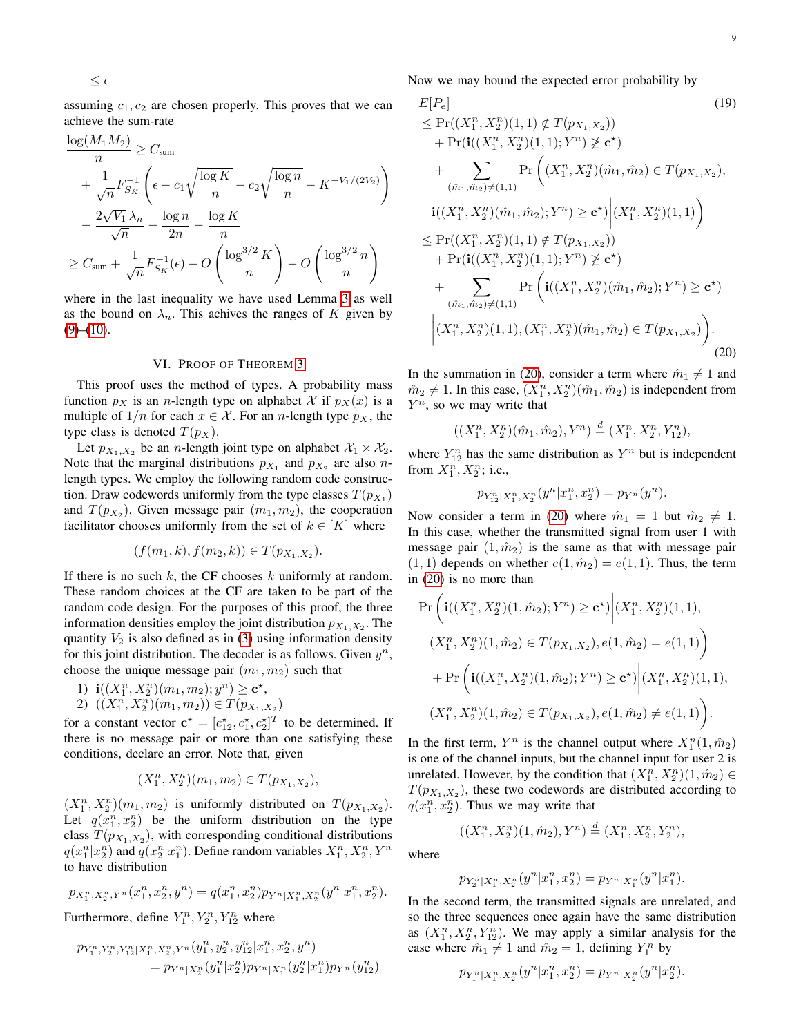$$
\leq \epsilon
$$

assuming  $c_1, c_2$  are chosen properly. This proves that we can achieve the sum-rate

$$
\frac{\log(M_1 M_2)}{n} \ge C_{\text{sum}}
$$
\n
$$
+ \frac{1}{\sqrt{n}} F_{S_K}^{-1} \left( \epsilon - c_1 \sqrt{\frac{\log K}{n}} - c_2 \sqrt{\frac{\log n}{n}} - K^{-V_1/(2V_2)} \right)
$$
\n
$$
- \frac{2\sqrt{V_1} \lambda_n}{\sqrt{n}} - \frac{\log n}{2n} - \frac{\log K}{n}
$$
\n
$$
\ge C_{\text{sum}} + \frac{1}{\sqrt{n}} F_{S_K}^{-1}(\epsilon) - O\left(\frac{\log^{3/2} K}{n}\right) - O\left(\frac{\log^{3/2} n}{n}\right)
$$

where in the last inequality we have used Lemma [3](#page-6-1) as well as the bound on  $\lambda_n$ . This achives the ranges of K given by  $(9)–(10)$  $(9)–(10)$  $(9)–(10)$ .

## VI. PROOF OF THEOREM [3](#page-2-1)

This proof uses the method of types. A probability mass function  $p_X$  is an *n*-length type on alphabet X if  $p_X(x)$  is a multiple of  $1/n$  for each  $x \in \mathcal{X}$ . For an *n*-length type  $p_X$ , the type class is denoted  $T(p_X)$ .

Let  $p_{X_1,X_2}$  be an *n*-length joint type on alphabet  $\mathcal{X}_1 \times \mathcal{X}_2$ . Note that the marginal distributions  $p_{X_1}$  and  $p_{X_2}$  are also *n*length types. We employ the following random code construction. Draw codewords uniformly from the type classes  $T(p_{X_1})$ and  $T(p_{X_2})$ . Given message pair  $(m_1, m_2)$ , the cooperation facilitator chooses uniformly from the set of  $k \in [K]$  where

$$
(f(m_1,k), f(m_2,k)) \in T(p_{X_1,X_2}).
$$

If there is no such  $k$ , the CF chooses  $k$  uniformly at random. These random choices at the CF are taken to be part of the random code design. For the purposes of this proof, the three information densities employ the joint distribution  $p_{X_1,X_2}$ . The quantity  $V_2$  is also defined as in [\(3\)](#page-1-4) using information density for this joint distribution. The decoder is as follows. Given  $y^n$ , choose the unique message pair  $(m_1, m_2)$  such that

1) 
$$
\mathbf{i}((X_1^n, X_2^n)(m_1, m_2); y^n) \ge \mathbf{c}^{\star},
$$

2)  $((X_1^n, X_2^n)(m_1, m_2)) \in T(p_{X_1, X_2})$ 

for a constant vector  $\mathbf{c}^* = [c_{12}^*, c_1^*, c_2^*]^T$  to be determined. If there is no message pair or more than one satisfying these conditions, declare an error. Note that, given

$$
(X_1^n, X_2^n)(m_1, m_2) \in T(p_{X_1, X_2}),
$$

 $(X_1^n, X_2^n)(m_1, m_2)$  is uniformly distributed on  $T(p_{X_1, X_2})$ . Let  $q(x_1^n, x_2^n)$  be the uniform distribution on the type class  $T(p_{X_1,X_2})$ , with corresponding conditional distributions  $q(x_1^n|x_2^n)$  and  $q(x_2^n|x_1^n)$ . Define random variables  $X_1^n, X_2^n, Y^n$ to have distribution

$$
p_{X_1^n, X_2^n, Y^n}(x_1^n, x_2^n, y^n) = q(x_1^n, x_2^n) p_{Y^n|X_1^n, X_2^n}(y^n|x_1^n, x_2^n).
$$

Furthermore, define  $Y_1^n, Y_2^n, Y_{12}^n$  where

$$
p_{Y_1^n, Y_2^n, Y_{12}^n | X_1^n, X_2^n, Y^n} (y_1^n, y_2^n, y_{12}^n | x_1^n, x_2^n, y^n)
$$
  
=  $p_{Y^n | X_2^n} (y_1^n | x_2^n) p_{Y^n | X_1^n} (y_2^n | x_1^n) p_{Y^n} (y_{12}^n)$ 

Now we may bound the expected error probability by

$$
E[P_e]
$$
\n
$$
\leq Pr((X_1^n, X_2^n)(1, 1) \notin T(p_{X_1, X_2}))
$$
\n
$$
+ Pr(i((X_1^n, X_2^n)(1, 1); Y^n) \geq \mathbf{c}^*)
$$
\n
$$
+ \sum_{(\hat{m}_1, \hat{m}_2) \neq (1, 1)} Pr\left((X_1^n, X_2^n)(\hat{m}_1, \hat{m}_2) \in T(p_{X_1, X_2}),
$$
\n
$$
i((X_1^n, X_2^n)(\hat{m}_1, \hat{m}_2); Y^n) \geq \mathbf{c}^* \Big| (X_1^n, X_2^n)(1, 1) \right)
$$
\n
$$
\leq Pr((X_1^n, X_2^n)(1, 1) \notin T(p_{X_1, X_2}))
$$
\n
$$
+ Pr(i((X_1^n, X_2^n)(1, 1); Y^n) \geq \mathbf{c}^*)
$$
\n
$$
+ \sum_{(\hat{m}_1, \hat{m}_2) \neq (1, 1)} Pr\left(i((X_1^n, X_2^n)(\hat{m}_1, \hat{m}_2); Y^n) \geq \mathbf{c}^* \right)
$$
\n
$$
\Big| (X_1^n, X_2^n)(1, 1), (X_1^n, X_2^n)(\hat{m}_1, \hat{m}_2) \in T(p_{X_1, X_2}) \Big).
$$
\n(20)

In the summation in [\(20\)](#page-8-0), consider a term where  $\hat{m}_1 \neq 1$  and  $\hat{m}_2 \neq 1$ . In this case,  $(X_1^n, X_2^n)(\hat{m}_1, \hat{m}_2)$  is independent from  $Y^n$ , so we may write that

<span id="page-8-0"></span>
$$
((X_1^n, X_2^n)(\hat{m}_1, \hat{m}_2), Y^n) \stackrel{d}{=} (X_1^n, X_2^n, Y_{12}^n),
$$

where  $Y_{12}^n$  has the same distribution as  $Y^n$  but is independent from  $X_1^n, X_2^n$ ; i.e.,

$$
p_{Y_{12}^n|X_1^n, X_2^n}(y^n|x_1^n, x_2^n) = p_{Y^n}(y^n).
$$

Now consider a term in [\(20\)](#page-8-0) where  $\hat{m}_1 = 1$  but  $\hat{m}_2 \neq 1$ . In this case, whether the transmitted signal from user 1 with message pair  $(1, \hat{m}_2)$  is the same as that with message pair  $(1, 1)$  depends on whether  $e(1, \hat{m}_2) = e(1, 1)$ . Thus, the term in [\(20\)](#page-8-0) is no more than

$$
\Pr\left(\mathbf{i}((X_1^n, X_2^n)(1, \hat{m}_2); Y^n) \ge \mathbf{c}^{\star})\middle| (X_1^n, X_2^n)(1, 1),
$$
  

$$
(X_1^n, X_2^n)(1, \hat{m}_2) \in T(p_{X_1, X_2}), e(1, \hat{m}_2) = e(1, 1)\right)
$$

$$
+ \Pr\left(\mathbf{i}((X_1^n, X_2^n)(1, \hat{m}_2); Y^n) \ge \mathbf{c}^{\star})\middle| (X_1^n, X_2^n)(1, 1),
$$
  

$$
(X_1^n, X_2^n)(1, \hat{m}_2) \in T(p_{X_1, X_2}), e(1, \hat{m}_2) \ne e(1, 1)\right).
$$

In the first term,  $Y^n$  is the channel output where  $X_1^n(1, \hat{m}_2)$ is one of the channel inputs, but the channel input for user 2 is unrelated. However, by the condition that  $(X_1^n, X_2^n)(1, \hat{m}_2) \in$  $T(p_{X_1,X_2})$ , these two codewords are distributed according to  $q(x_1^n, x_2^n)$ . Thus we may write that

$$
((X_1^n, X_2^n)(1, \hat{m}_2), Y^n) \stackrel{d}{=} (X_1^n, X_2^n, Y_2^n),
$$

where

$$
p_{Y_2^n|X_1^n,X_2^n}(y^n|x_1^n,x_2^n)=p_{Y^n|X_1^n}(y^n|x_1^n).
$$

In the second term, the transmitted signals are unrelated, and so the three sequences once again have the same distribution as  $(X_1^n, X_2^n, Y_{12}^n)$ . We may apply a similar analysis for the case where  $\hat{m}_1 \neq 1$  and  $\hat{m}_2 = 1$ , defining  $Y_1^n$  by

$$
p_{Y_1^n|X_1^n,X_2^n}(y^n|x_1^n,x_2^n)=p_{Y^n|X_2^n}(y^n|x_2^n).
$$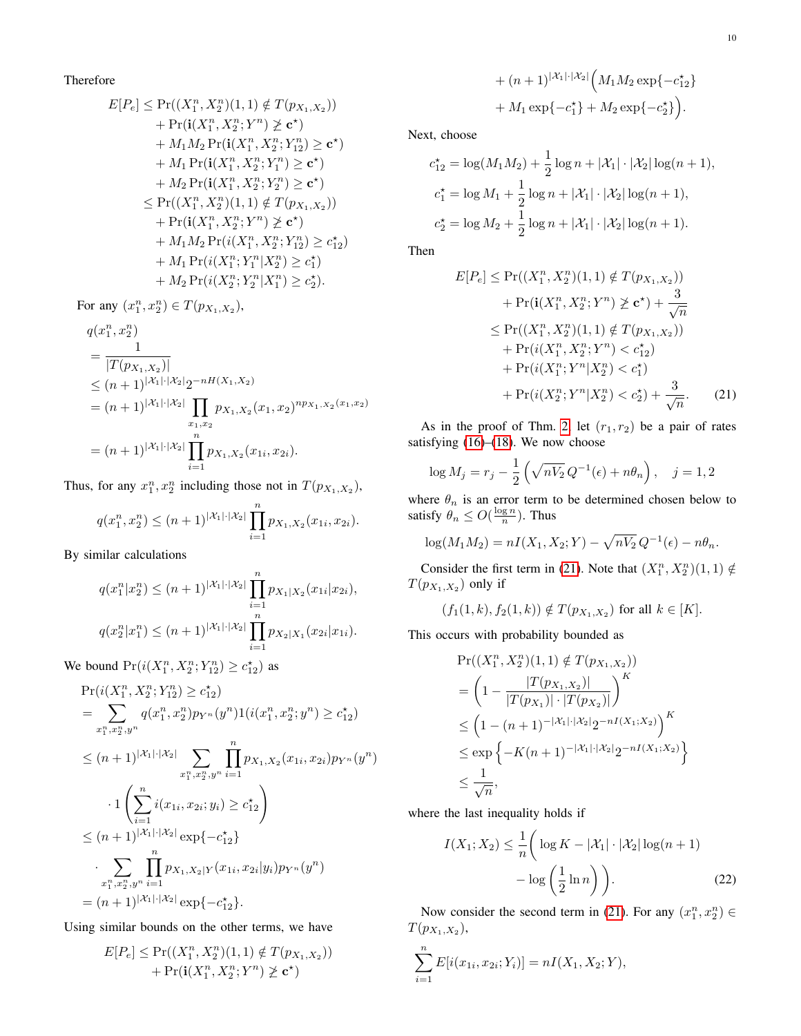Therefore

$$
E[P_e] \leq \Pr((X_1^n, X_2^n)(1, 1) \notin T(p_{X_1, X_2}))
$$
  
+ 
$$
\Pr(\mathbf{i}(X_1^n, X_2^n; Y^n) \geq \mathbf{c}^*)
$$
  
+ 
$$
M_1 M_2 \Pr(\mathbf{i}(X_1^n, X_2^n; Y_{12}^n) \geq \mathbf{c}^*)
$$
  
+ 
$$
M_1 \Pr(\mathbf{i}(X_1^n, X_2^n; Y_1^n) \geq \mathbf{c}^*)
$$
  
+ 
$$
M_2 \Pr(\mathbf{i}(X_1^n, X_2^n; Y_2^n) \geq \mathbf{c}^*)
$$
  

$$
\leq \Pr((X_1^n, X_2^n)(1, 1) \notin T(p_{X_1, X_2}))
$$
  
+ 
$$
\Pr(\mathbf{i}(X_1^n, X_2^n; Y^n) \geq \mathbf{c}^*)
$$
  
+ 
$$
M_1 M_2 \Pr(\mathbf{i}(X_1^n, X_2^n; Y_{12}^n) \geq c_{12}^*)
$$
  
+ 
$$
M_1 \Pr(\mathbf{i}(X_1^n; Y_1^n | X_2^n) \geq c_1^*)
$$
  
+ 
$$
M_2 \Pr(\mathbf{i}(X_2^n; Y_2^n | X_1^n) \geq c_2^*)
$$
.

For any  $(x_1^n, x_2^n) \in T(p_{X_1, X_2}),$ 

$$
q(x_1^n, x_2^n)
$$
  
= 
$$
\frac{1}{|T(p_{X_1, X_2})|}
$$
  
\$\leq (n + 1)^{|X\_1| \cdot |X\_2|} 2^{-nH(X\_1, X\_2)}\$  
= 
$$
(n + 1)^{|X_1| \cdot |X_2|} \prod_{\substack{x_1, x_2 \\ x_1, x_2}} p_{X_1, X_2}(x_1, x_2)^{np_{X_1, X_2}(x_1, x_2)}$= 
$$
(n + 1)^{|X_1| \cdot |X_2|} \prod_{i=1}^n p_{X_1, X_2}(x_{1i}, x_{2i}).
$$
$$

Thus, for any  $x_1^n, x_2^n$  including those not in  $T(p_{X_1,X_2})$ ,

$$
q(x_1^n, x_2^n) \le (n+1)^{|\mathcal{X}_1| \cdot |\mathcal{X}_2|} \prod_{i=1}^n p_{X_1, X_2}(x_{1i}, x_{2i}).
$$

By similar calculations

$$
q(x_1^n|x_2^n) \le (n+1)^{|\mathcal{X}_1|\cdot|\mathcal{X}_2|} \prod_{i=1}^n p_{X_1|X_2}(x_{1i}|x_{2i}),
$$
  

$$
q(x_2^n|x_1^n) \le (n+1)^{|\mathcal{X}_1|\cdot|\mathcal{X}_2|} \prod_{i=1}^n p_{X_2|X_1}(x_{2i}|x_{1i}).
$$

We bound  $Pr(i(X_1^n, X_2^n; Y_{12}^n) \ge c_{12}^*)$  as

$$
\Pr(i(X_1^n, X_2^n; Y_{12}^n) \ge c_{12}^*)
$$
\n
$$
= \sum_{x_1^n, x_2^n, y^n} q(x_1^n, x_2^n) p_{Y^n}(y^n) 1(i(x_1^n, x_2^n; y^n) \ge c_{12}^*)
$$
\n
$$
\le (n+1)^{|\mathcal{X}_1| \cdot |\mathcal{X}_2|} \sum_{x_1^n, x_2^n, y^n} \prod_{i=1}^n p_{X_1, X_2}(x_{1i}, x_{2i}) p_{Y^n}(y^n)
$$
\n
$$
\cdot 1 \left( \sum_{i=1}^n i(x_{1i}, x_{2i}; y_i) \ge c_{12}^* \right)
$$
\n
$$
\le (n+1)^{|\mathcal{X}_1| \cdot |\mathcal{X}_2|} \exp\{-c_{12}^* \}
$$
\n
$$
\cdot \sum_{x_1^n, x_2^n, y^n} \prod_{i=1}^n p_{X_1, X_2|Y}(x_{1i}, x_{2i}|y_i) p_{Y^n}(y^n)
$$
\n
$$
= (n+1)^{|\mathcal{X}_1| \cdot |\mathcal{X}_2|} \exp\{-c_{12}^* \}.
$$

Using similar bounds on the other terms, we have

$$
E[P_e] \le \Pr((X_1^n, X_2^n)(1, 1) \notin T(p_{X_1, X_2})) + \Pr(\mathbf{i}(X_1^n, X_2^n; Y^n) \ge \mathbf{c}^*)
$$

+ 
$$
(n + 1)^{|\mathcal{X}_1| \cdot |\mathcal{X}_2|} \Big( M_1 M_2 \exp\{-c_{12}^*\}
$$
  
+  $M_1 \exp\{-c_1^*\} + M_2 \exp\{-c_2^*\}$ .

Next, choose

$$
c_{12}^* = \log(M_1 M_2) + \frac{1}{2} \log n + |\mathcal{X}_1| \cdot |\mathcal{X}_2| \log(n+1),
$$
  
\n
$$
c_1^* = \log M_1 + \frac{1}{2} \log n + |\mathcal{X}_1| \cdot |\mathcal{X}_2| \log(n+1),
$$
  
\n
$$
c_2^* = \log M_2 + \frac{1}{2} \log n + |\mathcal{X}_1| \cdot |\mathcal{X}_2| \log(n+1).
$$

Then

<span id="page-9-0"></span>
$$
E[P_e] \le \Pr((X_1^n, X_2^n)(1, 1) \notin T(p_{X_1, X_2}))
$$
  
+  $\Pr(\mathbf{i}(X_1^n, X_2^n; Y^n) \not\ge \mathbf{c}^*) + \frac{3}{\sqrt{n}}$   
 $\le \Pr((X_1^n, X_2^n)(1, 1) \notin T(p_{X_1, X_2}))$   
+  $\Pr(i(X_1^n, X_2^n; Y^n) < c_{12}^*)$   
+  $\Pr(i(X_1^n; Y^n | X_2^n) < c_1^*)$   
+  $\Pr(i(X_2^n; Y^n | X_2^n) < c_2^*) + \frac{3}{\sqrt{n}}.$  (21)

As in the proof of Thm. [2,](#page-2-0) let  $(r_1, r_2)$  be a pair of rates satisfying [\(16\)](#page-6-2)–[\(18\)](#page-6-3). We now choose

$$
\log M_j = r_j - \frac{1}{2} \left( \sqrt{nV_2} \, Q^{-1}(\epsilon) + n\theta_n \right), \quad j = 1, 2
$$

where  $\theta_n$  is an error term to be determined chosen below to satisfy  $\theta_n \leq O(\frac{\log n}{n})$ . Thus

$$
\log(M_1 M_2) = nI(X_1, X_2; Y) - \sqrt{nV_2} Q^{-1}(\epsilon) - n\theta_n.
$$

Consider the first term in [\(21\)](#page-9-0). Note that  $(X_1^n, X_2^n)(1, 1) \notin$  $T(p_{X_1,X_2})$  only if

$$
(f_1(1,k), f_2(1,k)) \notin T(p_{X_1,X_2})
$$
 for all  $k \in [K]$ .

This occurs with probability bounded as

$$
\Pr((X_1^n, X_2^n)(1, 1) \notin T(p_{X_1, X_2}))
$$
\n
$$
= \left(1 - \frac{|T(p_{X_1, X_2})|}{|T(p_{X_1})| \cdot |T(p_{X_2})|}\right)^K
$$
\n
$$
\leq \left(1 - (n + 1)^{-|\mathcal{X}_1| \cdot |\mathcal{X}_2|} 2^{-nI(X_1; X_2)}\right)^K
$$
\n
$$
\leq \exp\left\{-K(n + 1)^{-|\mathcal{X}_1| \cdot |\mathcal{X}_2|} 2^{-nI(X_1; X_2)}\right\}
$$
\n
$$
\leq \frac{1}{\sqrt{n}},
$$

where the last inequality holds if

<span id="page-9-1"></span>
$$
I(X_1; X_2) \le \frac{1}{n} \left( \log K - |\mathcal{X}_1| \cdot |\mathcal{X}_2| \log (n+1) - \log \left( \frac{1}{2} \ln n \right) \right).
$$
 (22)

Now consider the second term in [\(21\)](#page-9-0). For any  $(x_1^n, x_2^n) \in$  $T(p_{X_1,X_2}),$ 

$$
\sum_{i=1}^{n} E[i(x_{1i}, x_{2i}; Y_i)] = nI(X_1, X_2; Y),
$$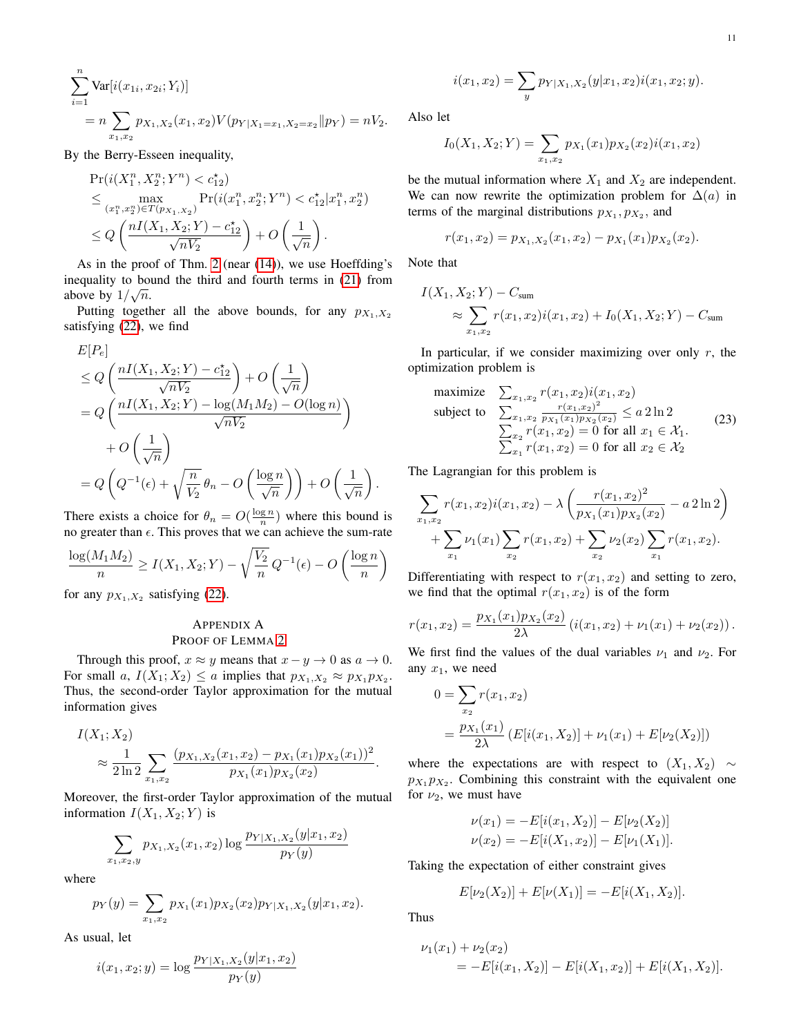$$
\sum_{i=1}^{n} \text{Var}[i(x_{1i}, x_{2i}; Y_i)]
$$
  
=  $n \sum_{x_1, x_2} p_{X_1, X_2}(x_1, x_2) V(p_{Y|X_1=x_1, X_2=x_2} || p_Y) = nV_2.$ 

By the Berry-Esseen inequality,

$$
\Pr(i(X_1^n, X_2^n; Y^n) < c_{12}^*)
$$
\n
$$
\leq \max_{(x_1^n, x_2^n) \in T(p_{X_1, X_2})} \Pr(i(x_1^n, x_2^n; Y^n) < c_{12}^* | x_1^n, x_2^n)
$$
\n
$$
\leq Q\left(\frac{nI(X_1, X_2; Y) - c_{12}^*}{\sqrt{nV_2}}\right) + O\left(\frac{1}{\sqrt{n}}\right).
$$

As in the proof of Thm. [2](#page-2-0) (near [\(14\)](#page-4-2)), we use Hoeffding's inequality to bound the third and fourth terms in [\(21\)](#page-9-0) from above by  $1/\sqrt{n}$ .

Putting together all the above bounds, for any  $p_{X_1,X_2}$ satisfying [\(22\)](#page-9-1), we find

$$
E[P_e]
$$
  
\n
$$
\leq Q\left(\frac{nI(X_1, X_2; Y) - c_{12}^*}{\sqrt{nV_2}}\right) + O\left(\frac{1}{\sqrt{n}}\right)
$$
  
\n
$$
= Q\left(\frac{nI(X_1, X_2; Y) - \log(M_1M_2) - O(\log n)}{\sqrt{nV_2}}\right)
$$
  
\n
$$
+ O\left(\frac{1}{\sqrt{n}}\right)
$$
  
\n
$$
= Q\left(Q^{-1}(\epsilon) + \sqrt{\frac{n}{V_2}}\theta_n - O\left(\frac{\log n}{\sqrt{n}}\right)\right) + O\left(\frac{1}{\sqrt{n}}\right).
$$

There exists a choice for  $\theta_n = O(\frac{\log n}{n})$  where this bound is no greater than  $\epsilon$ . This proves that we can achieve the sum-rate

$$
\frac{\log(M_1 M_2)}{n} \ge I(X_1, X_2; Y) - \sqrt{\frac{V_2}{n}} Q^{-1}(\epsilon) - O\left(\frac{\log n}{n}\right)
$$

for any  $p_{X_1,X_2}$  satisfying [\(22\)](#page-9-1).

## <span id="page-10-0"></span>APPENDIX A PROOF OF LEMMA [2](#page-2-3)

Through this proof,  $x \approx y$  means that  $x - y \to 0$  as  $a \to 0$ . For small a,  $I(X_1; X_2) \le a$  implies that  $p_{X_1, X_2} \approx p_{X_1} p_{X_2}$ . Thus, the second-order Taylor approximation for the mutual information gives

$$
I(X_1; X_2)
$$
  
\n
$$
\approx \frac{1}{2 \ln 2} \sum_{x_1, x_2} \frac{(p_{X_1, X_2}(x_1, x_2) - p_{X_1}(x_1) p_{X_2}(x_1))^2}{p_{X_1}(x_1) p_{X_2}(x_2)}.
$$

Moreover, the first-order Taylor approximation of the mutual information  $I(X_1, X_2; Y)$  is

$$
\sum_{1,x_2,y} p_{X_1,X_2}(x_1,x_2) \log \frac{p_{Y|X_1,X_2}(y|x_1,x_2)}{p_Y(y)}
$$

where

$$
p_Y(y) = \sum_{x_1, x_2} p_{X_1}(x_1) p_{X_2}(x_2) p_{Y|X_1, X_2}(y|x_1, x_2).
$$

As usual, let

 $\boldsymbol{x}$ 

$$
i(x_1, x_2; y) = \log \frac{p_{Y|X_1, X_2}(y|x_1, x_2)}{p_Y(y)}
$$

$$
i(x_1, x_2) = \sum_{y} p_{Y|X_1, X_2}(y|x_1, x_2)i(x_1, x_2; y).
$$

Also let

$$
I_0(X_1, X_2; Y) = \sum_{x_1, x_2} p_{X_1}(x_1) p_{X_2}(x_2) i(x_1, x_2)
$$

be the mutual information where  $X_1$  and  $X_2$  are independent. We can now rewrite the optimization problem for  $\Delta(a)$  in terms of the marginal distributions  $p_{X_1}, p_{X_2}$ , and

$$
r(x_1, x_2) = p_{X_1, X_2}(x_1, x_2) - p_{X_1}(x_1)p_{X_2}(x_2).
$$

Note that

$$
I(X_1, X_2; Y) - C_{sum}
$$
  
\n
$$
\approx \sum_{x_1, x_2} r(x_1, x_2)i(x_1, x_2) + I_0(X_1, X_2; Y) - C_{sum}
$$

In particular, if we consider maximizing over only  $r$ , the optimization problem is

<span id="page-10-1"></span>maximize 
$$
\sum_{x_1, x_2} r(x_1, x_2) i(x_1, x_2)
$$
  
\nsubject to 
$$
\sum_{x_1, x_2} \frac{r(x_1, x_2)^2}{px_1(x_1)px_2(x_2)} \le a 2 \ln 2
$$

$$
\sum_{x_2} r(x_1, x_2) = 0 \text{ for all } x_1 \in \mathcal{X}_1.
$$

$$
\sum_{x_1} r(x_1, x_2) = 0 \text{ for all } x_2 \in \mathcal{X}_2
$$
 (23)

The Lagrangian for this problem is

$$
\sum_{x_1,x_2} r(x_1,x_2)i(x_1,x_2) - \lambda \left( \frac{r(x_1,x_2)^2}{p_{X_1}(x_1)p_{X_2}(x_2)} - a \, 2 \ln 2 \right) + \sum_{x_1} \nu_1(x_1) \sum_{x_2} r(x_1,x_2) + \sum_{x_2} \nu_2(x_2) \sum_{x_1} r(x_1,x_2).
$$

Differentiating with respect to  $r(x_1, x_2)$  and setting to zero, we find that the optimal  $r(x_1, x_2)$  is of the form

$$
r(x_1,x_2)=\frac{p_{X_1}(x_1)p_{X_2}(x_2)}{2\lambda}\left(i(x_1,x_2)+\nu_1(x_1)+\nu_2(x_2)\right).
$$

We first find the values of the dual variables  $\nu_1$  and  $\nu_2$ . For any  $x_1$ , we need

$$
0 = \sum_{x_2} r(x_1, x_2)
$$
  
=  $\frac{p_{X_1}(x_1)}{2\lambda} (E[i(x_1, X_2)] + \nu_1(x_1) + E[\nu_2(X_2)])$ 

where the expectations are with respect to  $(X_1, X_2) \sim$  $p_{X_1} p_{X_2}$ . Combining this constraint with the equivalent one for  $\nu_2$ , we must have

$$
\nu(x_1) = -E[i(x_1, X_2)] - E[\nu_2(X_2)]
$$
  

$$
\nu(x_2) = -E[i(X_1, x_2)] - E[\nu_1(X_1)].
$$

Taking the expectation of either constraint gives

$$
E[\nu_2(X_2)] + E[\nu(X_1)] = -E[i(X_1, X_2)].
$$

Thus

$$
\nu_1(x_1) + \nu_2(x_2)
$$
  
= 
$$
-E[i(x_1, X_2)] - E[i(X_1, x_2)] + E[i(X_1, X_2)].
$$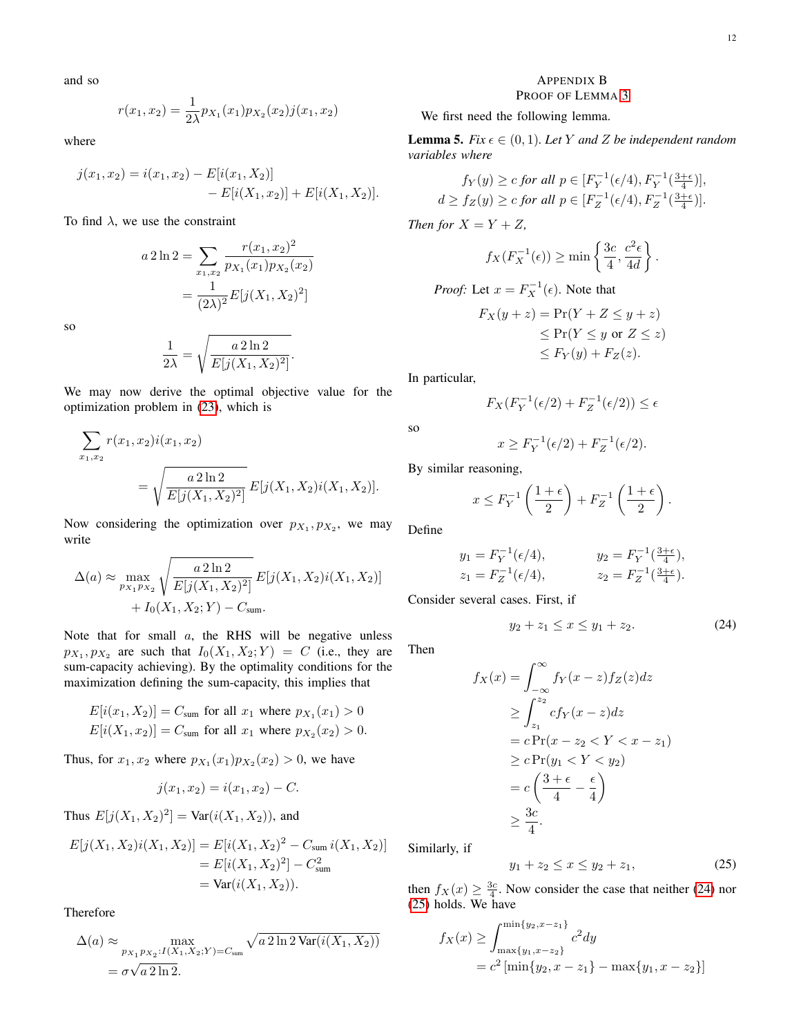and so

$$
r(x_1, x_2) = \frac{1}{2\lambda} p_{X_1}(x_1) p_{X_2}(x_2) j(x_1, x_2)
$$

where

$$
j(x_1, x_2) = i(x_1, x_2) - E[i(x_1, X_2)] - E[i(X_1, x_2)] + E[i(X_1, X_2)].
$$

To find  $\lambda$ , we use the constraint

$$
a \, 2 \ln 2 = \sum_{x_1, x_2} \frac{r(x_1, x_2)^2}{p_{X_1}(x_1) p_{X_2}(x_2)}
$$

$$
= \frac{1}{(2\lambda)^2} E[j(X_1, X_2)^2]
$$

so

$$
\frac{1}{2\lambda} = \sqrt{\frac{a 2 \ln 2}{E[j(X_1, X_2)^2]}}.
$$

We may now derive the optimal objective value for the optimization problem in [\(23\)](#page-10-1), which is

$$
\sum_{x_1, x_2} r(x_1, x_2) i(x_1, x_2)
$$
  
=  $\sqrt{\frac{a 2 \ln 2}{E[j(X_1, X_2)^2]}} E[j(X_1, X_2) i(X_1, X_2)].$ 

Now considering the optimization over  $p_{X_1}, p_{X_2}$ , we may write

$$
\Delta(a) \approx \max_{p_{X_1} p_{X_2}} \sqrt{\frac{a 2 \ln 2}{E[j(X_1, X_2)^2]}} E[j(X_1, X_2)i(X_1, X_2)] + I_0(X_1, X_2; Y) - C_{\text{sum}}.
$$

Note that for small  $a$ , the RHS will be negative unless  $p_{X_1}, p_{X_2}$  are such that  $I_0(X_1, X_2; Y) = C$  (i.e., they are sum-capacity achieving). By the optimality conditions for the maximization defining the sum-capacity, this implies that

 $E[i(x_1, X_2)] = C_{\text{sum}}$  for all  $x_1$  where  $p_{X_1}(x_1) > 0$  $E[i(X_1, x_2)] = C_{\text{sum}}$  for all  $x_1$  where  $p_{X_2}(x_2) > 0$ .

Thus, for  $x_1, x_2$  where  $p_{X_1}(x_1)p_{X_2}(x_2) > 0$ , we have

$$
j(x_1, x_2) = i(x_1, x_2) - C.
$$

Thus  $E[j(X_1, X_2)^2] = \text{Var}(i(X_1, X_2))$ , and

$$
E[j(X_1, X_2)i(X_1, X_2)] = E[i(X_1, X_2)^2 - C_{sum} i(X_1, X_2)]
$$
  
= 
$$
E[i(X_1, X_2)^2] - C_{sum}^2
$$
  
= 
$$
Var(i(X_1, X_2)).
$$

Therefore

$$
\Delta(a) \approx \max_{p_{X_1}p_{X_2}: I(X_1, X_2; Y) = C_{\text{sum}}} \sqrt{a 2 \ln 2 \text{Var}(i(X_1, X_2))}
$$

$$
= \sigma \sqrt{a 2 \ln 2}.
$$

## <span id="page-11-0"></span>APPENDIX B PROOF OF LEMMA [3](#page-6-1)

We first need the following lemma.

<span id="page-11-3"></span>**Lemma 5.** *Fix*  $\epsilon \in (0, 1)$ *. Let Y* and *Z be independent random variables where*

$$
f_Y(y) \ge c \text{ for all } p \in [F_Y^{-1}(\epsilon/4), F_Y^{-1}(\frac{3+\epsilon}{4})],
$$
  

$$
d \ge f_Z(y) \ge c \text{ for all } p \in [F_Z^{-1}(\epsilon/4), F_Z^{-1}(\frac{3+\epsilon}{4})].
$$

*Then for*  $X = Y + Z$ *,* 

$$
f_X(F_X^{-1}(\epsilon)) \ge \min\left\{\frac{3c}{4}, \frac{c^2\epsilon}{4d}\right\}.
$$

*Proof:* Let  $x = F_X^{-1}(\epsilon)$ . Note that

$$
F_X(y+z) = \Pr(Y+Z \le y+z)
$$
  
\n
$$
\le \Pr(Y \le y \text{ or } Z \le z)
$$
  
\n
$$
\le F_Y(y) + F_Z(z).
$$

In particular,

so

$$
F_X(F_Y^{-1}(\epsilon/2) + F_Z^{-1}(\epsilon/2)) \le \epsilon
$$

$$
x \ge F_Y^{-1}(\epsilon/2) + F_Z^{-1}(\epsilon/2).
$$

By similar reasoning,

$$
x \le F_Y^{-1}\left(\frac{1+\epsilon}{2}\right) + F_Z^{-1}\left(\frac{1+\epsilon}{2}\right).
$$

Define

$$
y_1 = F_Y^{-1}(\epsilon/4),
$$
  $y_2 = F_Y^{-1}(\frac{3+\epsilon}{4}),$   
\n $z_1 = F_Z^{-1}(\epsilon/4),$   $z_2 = F_Z^{-1}(\frac{3+\epsilon}{4}).$ 

Consider several cases. First, if

<span id="page-11-1"></span>
$$
y_2 + z_1 \le x \le y_1 + z_2. \tag{24}
$$

Then

$$
f_X(x) = \int_{-\infty}^{\infty} f_Y(x - z) f_Z(z) dz
$$
  
\n
$$
\geq \int_{z_1}^{z_2} cf_Y(x - z) dz
$$
  
\n
$$
= c \Pr(x - z_2 < Y < x - z_1)
$$
  
\n
$$
\geq c \Pr(y_1 < Y < y_2)
$$
  
\n
$$
= c \left( \frac{3 + \epsilon}{4} - \frac{\epsilon}{4} \right)
$$
  
\n
$$
\geq \frac{3c}{4}.
$$

Similarly, if

<span id="page-11-2"></span>
$$
y_1 + z_2 \le x \le y_2 + z_1,\tag{25}
$$

then  $f_X(x) \ge \frac{3c}{4}$ . Now consider the case that neither [\(24\)](#page-11-1) nor [\(25\)](#page-11-2) holds. We have

$$
f_X(x) \ge \int_{\max\{y_1, x-z_2\}}^{\min\{y_2, x-z_1\}} c^2 dy
$$
  
=  $c^2 \left[\min\{y_2, x-z_1\} - \max\{y_1, x-z_2\}\right]$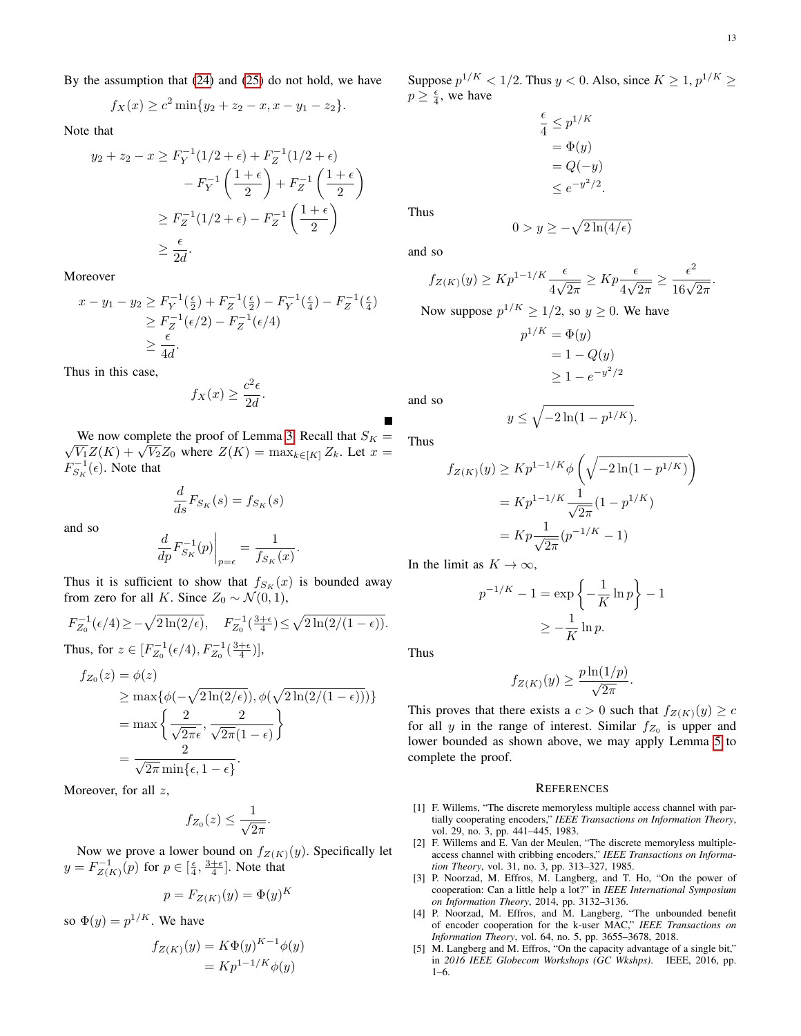.

By the assumption that [\(24\)](#page-11-1) and [\(25\)](#page-11-2) do not hold, we have

$$
f_X(x) \ge c^2 \min\{y_2 + z_2 - x, x - y_1 - z_2\}.
$$

Note that

$$
y_2 + z_2 - x \ge F_Y^{-1}(1/2 + \epsilon) + F_Z^{-1}(1/2 + \epsilon)
$$

$$
- F_Y^{-1}\left(\frac{1+\epsilon}{2}\right) + F_Z^{-1}\left(\frac{1+\epsilon}{2}\right)
$$

$$
\ge F_Z^{-1}(1/2 + \epsilon) - F_Z^{-1}\left(\frac{1+\epsilon}{2}\right)
$$

$$
\ge \frac{\epsilon}{2d}.
$$

Moreover

$$
x - y_1 - y_2 \ge F_Y^{-1}(\frac{\epsilon}{2}) + F_Z^{-1}(\frac{\epsilon}{2}) - F_Y^{-1}(\frac{\epsilon}{4}) - F_Z^{-1}(\frac{\epsilon}{4})
$$
  
 
$$
\ge F_Z^{-1}(\epsilon/2) - F_Z^{-1}(\epsilon/4)
$$
  
 
$$
\ge \frac{\epsilon}{4d}.
$$

Thus in this case,

$$
f_X(x) \ge \frac{c^2 \epsilon}{2d}.
$$

We now complete the proof of Lemma [3.](#page-6-1) Recall that  $S_K =$ we now complete the proof of Lemma 5. Recall that  $S_K = \overline{V_1}Z(K) + \sqrt{V_2}Z_0$  where  $Z(K) = \max_{k \in [K]} Z_k$ . Let  $x =$  $F_{S_K}^{-1}(\epsilon)$ . Note that

$$
\frac{d}{ds}F_{S_K}(s) = f_{S_K}(s)
$$

and so

$$
\left. \frac{d}{dp} F_{S_K}^{-1}(p) \right|_{p=\epsilon} = \frac{1}{f_{S_K}(x)}.
$$

Thus it is sufficient to show that  $f_{S_K}(x)$  is bounded away from zero for all K. Since  $Z_0 \sim \mathcal{N}(0, 1)$ ,

$$
\begin{split} &F_{Z_0}^{-1}(\epsilon/4)\!\geq\!-\sqrt{2\ln(2/\epsilon)},\quad F_{Z_0}^{-1}(\tfrac{3+\epsilon}{4})\!\leq\!\sqrt{2\ln(2/(1-\epsilon))}.\\ &\text{Thus, for } z\in[F_{Z_0}^{-1}(\epsilon/4),F_{Z_0}^{-1}(\tfrac{3+\epsilon}{4})], \end{split}
$$

$$
f_{Z_0}(z) = \phi(z)
$$
  
\n
$$
\geq \max{\phi(-\sqrt{2\ln(2/\epsilon)}), \phi(\sqrt{2\ln(2/(1-\epsilon)}))}
$$
  
\n
$$
= \max{\frac{2}{\sqrt{2\pi}\epsilon}, \frac{2}{\sqrt{2\pi}(1-\epsilon)}}
$$
  
\n
$$
= \frac{2}{\sqrt{2\pi}\min{\epsilon, 1-\epsilon}}.
$$

Moreover, for all  $z$ ,

$$
f_{Z_0}(z) \leq \frac{1}{\sqrt{2\pi}}.
$$

Now we prove a lower bound on  $f_{Z(K)}(y)$ . Specifically let  $y = F^{-1}_{Z(K)}(p)$  for  $p \in \left[\frac{\epsilon}{4}, \frac{3+\epsilon}{4}\right]$ . Note that

$$
p = F_{Z(K)}(y) = \Phi(y)^K
$$

so  $\Phi(y) = p^{1/K}$ . We have

$$
f_{Z(K)}(y) = K\Phi(y)^{K-1}\phi(y)
$$

$$
= Kp^{1-1/K}\phi(y)
$$

Suppose  $p^{1/K} < 1/2$ . Thus  $y < 0$ . Also, since  $K \ge 1$ ,  $p^{1/K} \ge 1$  $p \geq \frac{\epsilon}{4}$ , we have

$$
\frac{\epsilon}{4} \le p^{1/K}
$$
  
=  $\Phi(y)$   
=  $Q(-y)$   
 $\le e^{-y^2/2}$ 

Thus

$$
0 > y \ge -\sqrt{2\ln(4/\epsilon)}
$$

.

and so

$$
f_{Z(K)}(y) \ge K p^{1-1/K} \frac{\epsilon}{4\sqrt{2\pi}} \ge K p \frac{\epsilon}{4\sqrt{2\pi}} \ge \frac{\epsilon^2}{16\sqrt{2\pi}}
$$

Now suppose  $p^{1/K} \ge 1/2$ , so  $y \ge 0$ . We have

$$
p^{1/K} = \Phi(y)
$$
  
= 1 - Q(y)  

$$
\geq 1 - e^{-y^2/2}
$$

and so

$$
y \le \sqrt{-2\ln(1-p^{1/K})}.
$$

Thus

$$
f_{Z(K)}(y) \ge K p^{1-1/K} \phi \left( \sqrt{-2\ln(1-p^{1/K})} \right)
$$
  
=  $K p^{1-1/K} \frac{1}{\sqrt{2\pi}} (1-p^{1/K})$   
=  $K p \frac{1}{\sqrt{2\pi}} (p^{-1/K} - 1)$ 

In the limit as  $K \to \infty$ ,

$$
p^{-1/K} - 1 = \exp\left\{-\frac{1}{K}\ln p\right\} - 1
$$

$$
\geq -\frac{1}{K}\ln p.
$$

Thus

$$
f_{Z(K)}(y) \ge \frac{p \ln(1/p)}{\sqrt{2\pi}}
$$

.

This proves that there exists a  $c > 0$  such that  $f_{Z(K)}(y) \ge c$ for all y in the range of interest. Similar  $f_{Z_0}$  is upper and lower bounded as shown above, we may apply Lemma [5](#page-11-3) to complete the proof.

#### **REFERENCES**

- <span id="page-12-0"></span>[1] F. Willems, "The discrete memoryless multiple access channel with partially cooperating encoders," *IEEE Transactions on Information Theory*, vol. 29, no. 3, pp. 441–445, 1983.
- <span id="page-12-1"></span>[2] F. Willems and E. Van der Meulen, "The discrete memoryless multipleaccess channel with cribbing encoders," *IEEE Transactions on Information Theory*, vol. 31, no. 3, pp. 313–327, 1985.
- <span id="page-12-2"></span>[3] P. Noorzad, M. Effros, M. Langberg, and T. Ho, "On the power of cooperation: Can a little help a lot?" in *IEEE International Symposium on Information Theory*, 2014, pp. 3132–3136.
- <span id="page-12-3"></span>[4] P. Noorzad, M. Effros, and M. Langberg, "The unbounded benefit of encoder cooperation for the k-user MAC," *IEEE Transactions on Information Theory*, vol. 64, no. 5, pp. 3655–3678, 2018.
- <span id="page-12-4"></span>[5] M. Langberg and M. Effros, "On the capacity advantage of a single bit," in *2016 IEEE Globecom Workshops (GC Wkshps)*. IEEE, 2016, pp. 1–6.